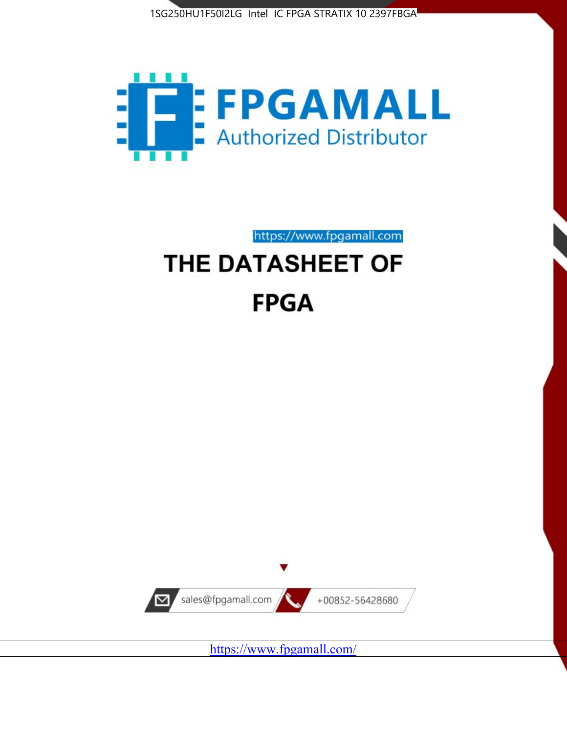



https://www.fpgamall.com

# THE DATASHEET OF **FPGA**



<https://www.fpgamall.com/>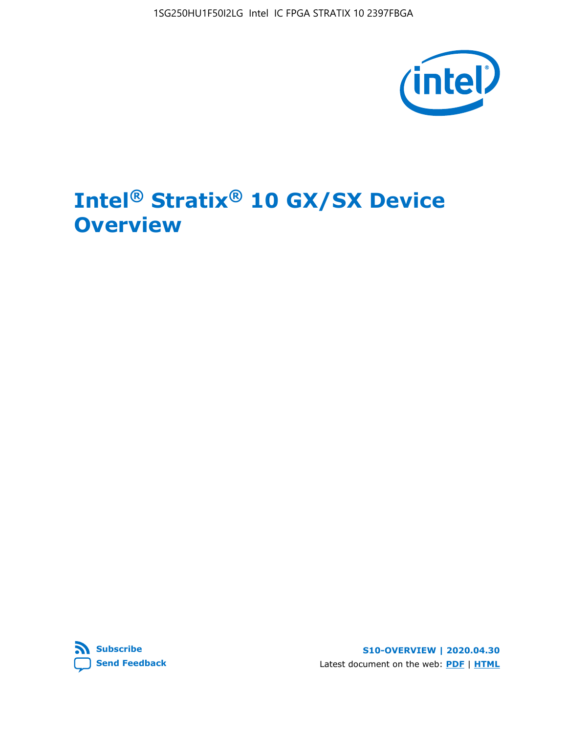1SG250HU1F50I2LG Intel IC FPGA STRATIX 10 2397FBGA



# **Intel® Stratix® 10 GX/SX Device Overview**



**S10-OVERVIEW | 2020.04.30** Latest document on the web: **[PDF](https://www.intel.com/content/dam/www/programmable/us/en/pdfs/literature/hb/stratix-10/s10-overview.pdf)** | **[HTML](https://www.intel.com/content/www/us/en/programmable/documentation/joc1442261161666.html)**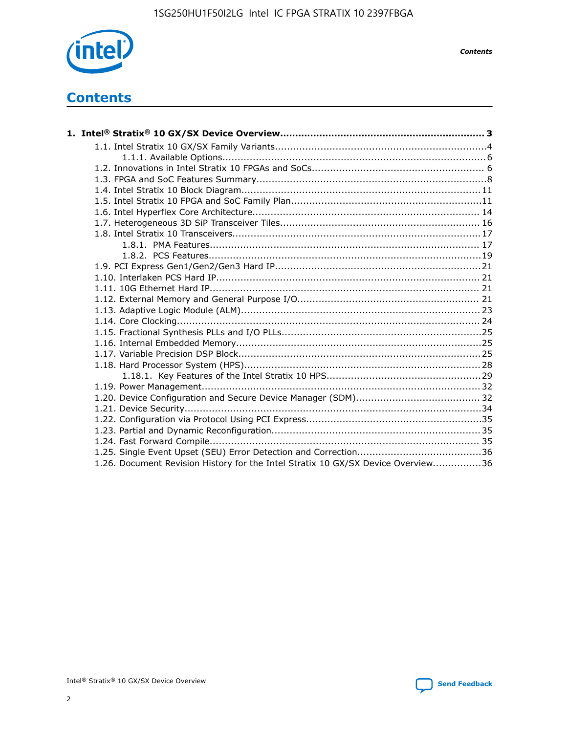

*Contents*

# **Contents**

| 1.26. Document Revision History for the Intel Stratix 10 GX/SX Device Overview36 |  |
|----------------------------------------------------------------------------------|--|

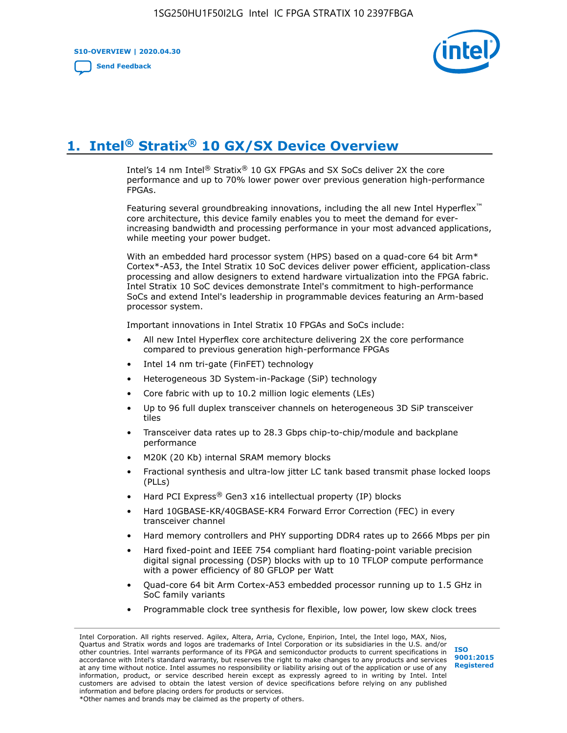**S10-OVERVIEW | 2020.04.30**

**[Send Feedback](mailto:FPGAtechdocfeedback@intel.com?subject=Feedback%20on%20Intel%20Stratix%2010%20GX/SX%20Device%20Overview%20(S10-OVERVIEW%202020.04.30)&body=We%20appreciate%20your%20feedback.%20In%20your%20comments,%20also%20specify%20the%20page%20number%20or%20paragraph.%20Thank%20you.)**



# **1. Intel® Stratix® 10 GX/SX Device Overview**

Intel's 14 nm Intel® Stratix® 10 GX FPGAs and SX SoCs deliver 2X the core performance and up to 70% lower power over previous generation high-performance FPGAs.

Featuring several groundbreaking innovations, including the all new Intel Hyperflex™ core architecture, this device family enables you to meet the demand for everincreasing bandwidth and processing performance in your most advanced applications, while meeting your power budget.

With an embedded hard processor system (HPS) based on a quad-core 64 bit Arm\* Cortex\*-A53, the Intel Stratix 10 SoC devices deliver power efficient, application-class processing and allow designers to extend hardware virtualization into the FPGA fabric. Intel Stratix 10 SoC devices demonstrate Intel's commitment to high-performance SoCs and extend Intel's leadership in programmable devices featuring an Arm-based processor system.

Important innovations in Intel Stratix 10 FPGAs and SoCs include:

- All new Intel Hyperflex core architecture delivering 2X the core performance compared to previous generation high-performance FPGAs
- Intel 14 nm tri-gate (FinFET) technology
- Heterogeneous 3D System-in-Package (SiP) technology
- Core fabric with up to 10.2 million logic elements (LEs)
- Up to 96 full duplex transceiver channels on heterogeneous 3D SiP transceiver tiles
- Transceiver data rates up to 28.3 Gbps chip-to-chip/module and backplane performance
- M20K (20 Kb) internal SRAM memory blocks
- Fractional synthesis and ultra-low jitter LC tank based transmit phase locked loops (PLLs)
- Hard PCI Express<sup>®</sup> Gen3 x16 intellectual property (IP) blocks
- Hard 10GBASE-KR/40GBASE-KR4 Forward Error Correction (FEC) in every transceiver channel
- Hard memory controllers and PHY supporting DDR4 rates up to 2666 Mbps per pin
- Hard fixed-point and IEEE 754 compliant hard floating-point variable precision digital signal processing (DSP) blocks with up to 10 TFLOP compute performance with a power efficiency of 80 GFLOP per Watt
- Quad-core 64 bit Arm Cortex-A53 embedded processor running up to 1.5 GHz in SoC family variants
- Programmable clock tree synthesis for flexible, low power, low skew clock trees

Intel Corporation. All rights reserved. Agilex, Altera, Arria, Cyclone, Enpirion, Intel, the Intel logo, MAX, Nios, Quartus and Stratix words and logos are trademarks of Intel Corporation or its subsidiaries in the U.S. and/or other countries. Intel warrants performance of its FPGA and semiconductor products to current specifications in accordance with Intel's standard warranty, but reserves the right to make changes to any products and services at any time without notice. Intel assumes no responsibility or liability arising out of the application or use of any information, product, or service described herein except as expressly agreed to in writing by Intel. Intel customers are advised to obtain the latest version of device specifications before relying on any published information and before placing orders for products or services. \*Other names and brands may be claimed as the property of others.

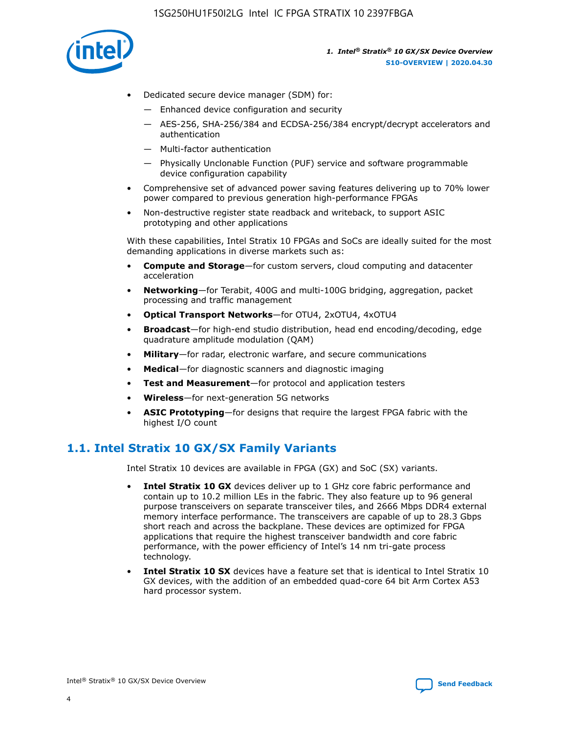

- Dedicated secure device manager (SDM) for:
	- Enhanced device configuration and security
	- AES-256, SHA-256/384 and ECDSA-256/384 encrypt/decrypt accelerators and authentication
	- Multi-factor authentication
	- Physically Unclonable Function (PUF) service and software programmable device configuration capability
- Comprehensive set of advanced power saving features delivering up to 70% lower power compared to previous generation high-performance FPGAs
- Non-destructive register state readback and writeback, to support ASIC prototyping and other applications

With these capabilities, Intel Stratix 10 FPGAs and SoCs are ideally suited for the most demanding applications in diverse markets such as:

- **Compute and Storage**—for custom servers, cloud computing and datacenter acceleration
- **Networking**—for Terabit, 400G and multi-100G bridging, aggregation, packet processing and traffic management
- **Optical Transport Networks**—for OTU4, 2xOTU4, 4xOTU4
- **Broadcast**—for high-end studio distribution, head end encoding/decoding, edge quadrature amplitude modulation (QAM)
- **Military**—for radar, electronic warfare, and secure communications
- **Medical**—for diagnostic scanners and diagnostic imaging
- **Test and Measurement**—for protocol and application testers
- **Wireless**—for next-generation 5G networks
- **ASIC Prototyping**—for designs that require the largest FPGA fabric with the highest I/O count

## **1.1. Intel Stratix 10 GX/SX Family Variants**

Intel Stratix 10 devices are available in FPGA (GX) and SoC (SX) variants.

- **Intel Stratix 10 GX** devices deliver up to 1 GHz core fabric performance and contain up to 10.2 million LEs in the fabric. They also feature up to 96 general purpose transceivers on separate transceiver tiles, and 2666 Mbps DDR4 external memory interface performance. The transceivers are capable of up to 28.3 Gbps short reach and across the backplane. These devices are optimized for FPGA applications that require the highest transceiver bandwidth and core fabric performance, with the power efficiency of Intel's 14 nm tri-gate process technology.
- **Intel Stratix 10 SX** devices have a feature set that is identical to Intel Stratix 10 GX devices, with the addition of an embedded quad-core 64 bit Arm Cortex A53 hard processor system.

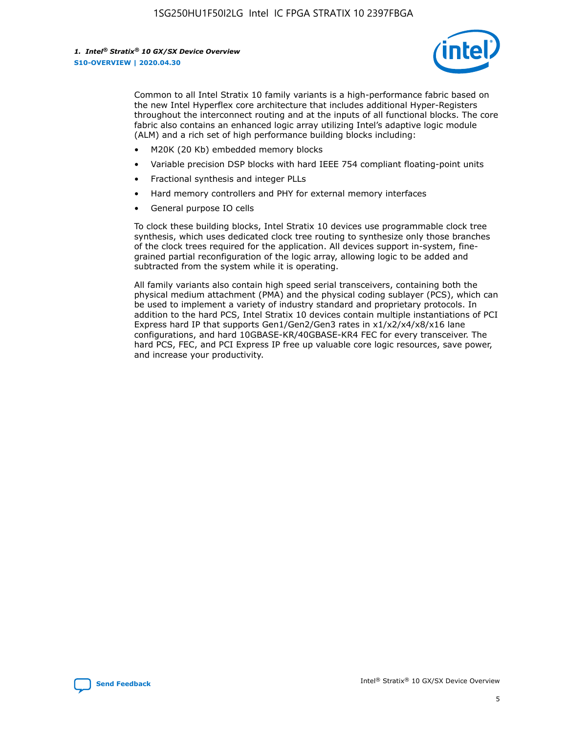

Common to all Intel Stratix 10 family variants is a high-performance fabric based on the new Intel Hyperflex core architecture that includes additional Hyper-Registers throughout the interconnect routing and at the inputs of all functional blocks. The core fabric also contains an enhanced logic array utilizing Intel's adaptive logic module (ALM) and a rich set of high performance building blocks including:

- M20K (20 Kb) embedded memory blocks
- Variable precision DSP blocks with hard IEEE 754 compliant floating-point units
- Fractional synthesis and integer PLLs
- Hard memory controllers and PHY for external memory interfaces
- General purpose IO cells

To clock these building blocks, Intel Stratix 10 devices use programmable clock tree synthesis, which uses dedicated clock tree routing to synthesize only those branches of the clock trees required for the application. All devices support in-system, finegrained partial reconfiguration of the logic array, allowing logic to be added and subtracted from the system while it is operating.

All family variants also contain high speed serial transceivers, containing both the physical medium attachment (PMA) and the physical coding sublayer (PCS), which can be used to implement a variety of industry standard and proprietary protocols. In addition to the hard PCS, Intel Stratix 10 devices contain multiple instantiations of PCI Express hard IP that supports Gen1/Gen2/Gen3 rates in x1/x2/x4/x8/x16 lane configurations, and hard 10GBASE-KR/40GBASE-KR4 FEC for every transceiver. The hard PCS, FEC, and PCI Express IP free up valuable core logic resources, save power, and increase your productivity.

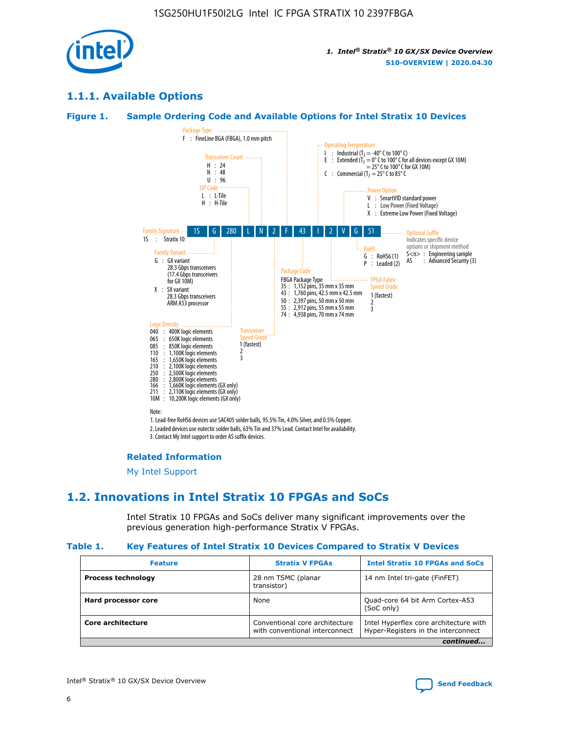

## **1.1.1. Available Options**

#### **Figure 1. Sample Ordering Code and Available Options for Intel Stratix 10 Devices**



## **Related Information**

[My Intel Support](https://www.intel.com/content/www/us/en/programmable/my-intel/mal-home.html)

## **1.2. Innovations in Intel Stratix 10 FPGAs and SoCs**

Intel Stratix 10 FPGAs and SoCs deliver many significant improvements over the previous generation high-performance Stratix V FPGAs.

#### **Table 1. Key Features of Intel Stratix 10 Devices Compared to Stratix V Devices**

| <b>Feature</b>            | <b>Stratix V FPGAs</b>                                           | <b>Intel Stratix 10 FPGAs and SoCs</b>                                        |  |  |  |
|---------------------------|------------------------------------------------------------------|-------------------------------------------------------------------------------|--|--|--|
| <b>Process technology</b> | 28 nm TSMC (planar<br>transistor)                                | 14 nm Intel tri-gate (FinFET)                                                 |  |  |  |
| Hard processor core       | None                                                             | Quad-core 64 bit Arm Cortex-A53<br>(SoC only)                                 |  |  |  |
| Core architecture         | Conventional core architecture<br>with conventional interconnect | Intel Hyperflex core architecture with<br>Hyper-Registers in the interconnect |  |  |  |
| continued                 |                                                                  |                                                                               |  |  |  |

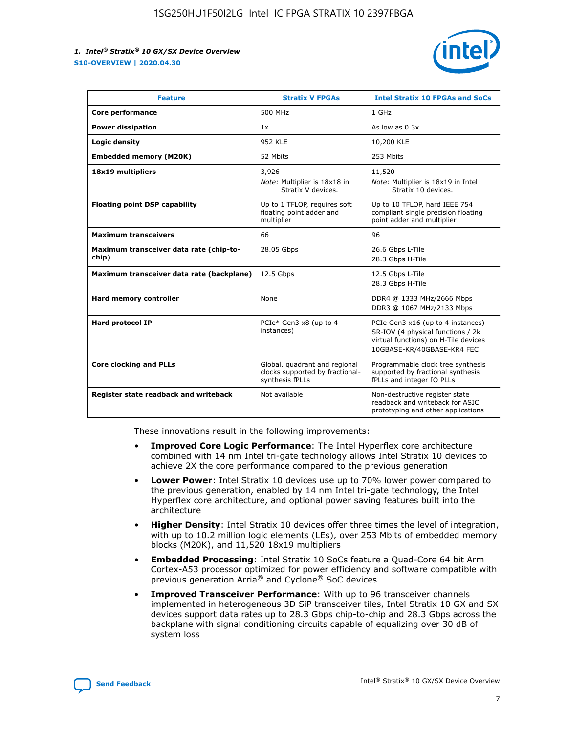

| <b>Feature</b>                                   | <b>Stratix V FPGAs</b>                                                              | <b>Intel Stratix 10 FPGAs and SoCs</b>                                                                                                       |
|--------------------------------------------------|-------------------------------------------------------------------------------------|----------------------------------------------------------------------------------------------------------------------------------------------|
| Core performance                                 | 500 MHz                                                                             | 1 GHz                                                                                                                                        |
| <b>Power dissipation</b>                         | 1x                                                                                  | As low as $0.3x$                                                                                                                             |
| Logic density                                    | <b>952 KLE</b>                                                                      | 10,200 KLE                                                                                                                                   |
| <b>Embedded memory (M20K)</b>                    | 52 Mbits                                                                            | 253 Mbits                                                                                                                                    |
| 18x19 multipliers                                | 3,926                                                                               | 11,520                                                                                                                                       |
|                                                  | Note: Multiplier is 18x18 in<br>Stratix V devices.                                  | Note: Multiplier is 18x19 in Intel<br>Stratix 10 devices.                                                                                    |
| <b>Floating point DSP capability</b>             | Up to 1 TFLOP, requires soft<br>floating point adder and<br>multiplier              | Up to 10 TFLOP, hard IEEE 754<br>compliant single precision floating<br>point adder and multiplier                                           |
| <b>Maximum transceivers</b>                      | 66                                                                                  | 96                                                                                                                                           |
| Maximum transceiver data rate (chip-to-<br>chip) | 28.05 Gbps                                                                          | 26.6 Gbps L-Tile<br>28.3 Gbps H-Tile                                                                                                         |
| Maximum transceiver data rate (backplane)        | 12.5 Gbps                                                                           | 12.5 Gbps L-Tile<br>28.3 Gbps H-Tile                                                                                                         |
| Hard memory controller                           | None                                                                                | DDR4 @ 1333 MHz/2666 Mbps<br>DDR3 @ 1067 MHz/2133 Mbps                                                                                       |
| <b>Hard protocol IP</b>                          | PCIe* Gen3 x8 (up to 4<br>instances)                                                | PCIe Gen3 x16 (up to 4 instances)<br>SR-IOV (4 physical functions / 2k<br>virtual functions) on H-Tile devices<br>10GBASE-KR/40GBASE-KR4 FEC |
| <b>Core clocking and PLLs</b>                    | Global, quadrant and regional<br>clocks supported by fractional-<br>synthesis fPLLs | Programmable clock tree synthesis<br>supported by fractional synthesis<br>fPLLs and integer IO PLLs                                          |
| Register state readback and writeback            | Not available                                                                       | Non-destructive register state<br>readback and writeback for ASIC<br>prototyping and other applications                                      |

These innovations result in the following improvements:

- **Improved Core Logic Performance**: The Intel Hyperflex core architecture combined with 14 nm Intel tri-gate technology allows Intel Stratix 10 devices to achieve 2X the core performance compared to the previous generation
- **Lower Power**: Intel Stratix 10 devices use up to 70% lower power compared to the previous generation, enabled by 14 nm Intel tri-gate technology, the Intel Hyperflex core architecture, and optional power saving features built into the architecture
- **Higher Density**: Intel Stratix 10 devices offer three times the level of integration, with up to 10.2 million logic elements (LEs), over 253 Mbits of embedded memory blocks (M20K), and 11,520 18x19 multipliers
- **Embedded Processing**: Intel Stratix 10 SoCs feature a Quad-Core 64 bit Arm Cortex-A53 processor optimized for power efficiency and software compatible with previous generation Arria® and Cyclone® SoC devices
- **Improved Transceiver Performance**: With up to 96 transceiver channels implemented in heterogeneous 3D SiP transceiver tiles, Intel Stratix 10 GX and SX devices support data rates up to 28.3 Gbps chip-to-chip and 28.3 Gbps across the backplane with signal conditioning circuits capable of equalizing over 30 dB of system loss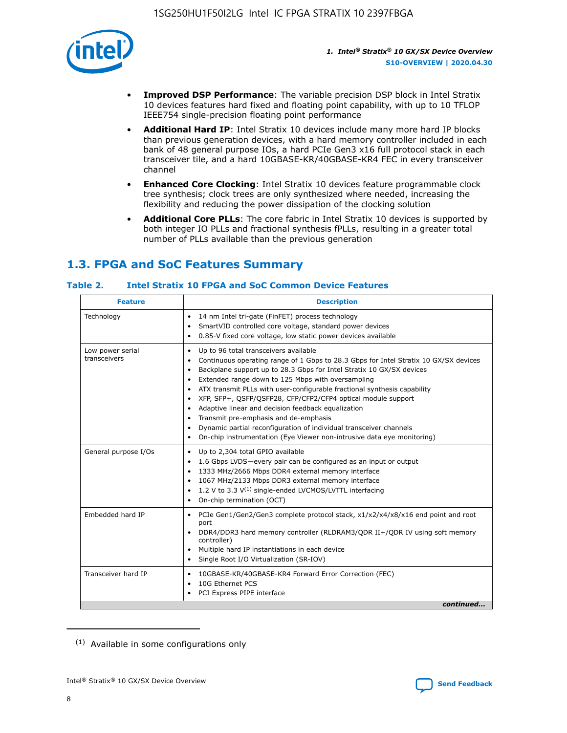

- **Improved DSP Performance**: The variable precision DSP block in Intel Stratix 10 devices features hard fixed and floating point capability, with up to 10 TFLOP IEEE754 single-precision floating point performance
- **Additional Hard IP**: Intel Stratix 10 devices include many more hard IP blocks than previous generation devices, with a hard memory controller included in each bank of 48 general purpose IOs, a hard PCIe Gen3 x16 full protocol stack in each transceiver tile, and a hard 10GBASE-KR/40GBASE-KR4 FEC in every transceiver channel
- **Enhanced Core Clocking**: Intel Stratix 10 devices feature programmable clock tree synthesis; clock trees are only synthesized where needed, increasing the flexibility and reducing the power dissipation of the clocking solution
- **Additional Core PLLs**: The core fabric in Intel Stratix 10 devices is supported by both integer IO PLLs and fractional synthesis fPLLs, resulting in a greater total number of PLLs available than the previous generation

## **1.3. FPGA and SoC Features Summary**

## **Table 2. Intel Stratix 10 FPGA and SoC Common Device Features**

| <b>Feature</b>                   | <b>Description</b>                                                                                                                                                                                                                                                                                                                                                                                                                                                                                                                                                                                                                                                                                                                                   |
|----------------------------------|------------------------------------------------------------------------------------------------------------------------------------------------------------------------------------------------------------------------------------------------------------------------------------------------------------------------------------------------------------------------------------------------------------------------------------------------------------------------------------------------------------------------------------------------------------------------------------------------------------------------------------------------------------------------------------------------------------------------------------------------------|
| Technology                       | 14 nm Intel tri-gate (FinFET) process technology<br>٠<br>SmartVID controlled core voltage, standard power devices<br>0.85-V fixed core voltage, low static power devices available                                                                                                                                                                                                                                                                                                                                                                                                                                                                                                                                                                   |
| Low power serial<br>transceivers | Up to 96 total transceivers available<br>$\bullet$<br>Continuous operating range of 1 Gbps to 28.3 Gbps for Intel Stratix 10 GX/SX devices<br>$\bullet$<br>Backplane support up to 28.3 Gbps for Intel Stratix 10 GX/SX devices<br>$\bullet$<br>Extended range down to 125 Mbps with oversampling<br>$\bullet$<br>ATX transmit PLLs with user-configurable fractional synthesis capability<br>$\bullet$<br>• XFP, SFP+, OSFP/OSFP28, CFP/CFP2/CFP4 optical module support<br>• Adaptive linear and decision feedback equalization<br>Transmit pre-emphasis and de-emphasis<br>Dynamic partial reconfiguration of individual transceiver channels<br>$\bullet$<br>On-chip instrumentation (Eye Viewer non-intrusive data eye monitoring)<br>$\bullet$ |
| General purpose I/Os             | Up to 2,304 total GPIO available<br>$\bullet$<br>1.6 Gbps LVDS-every pair can be configured as an input or output<br>$\bullet$<br>1333 MHz/2666 Mbps DDR4 external memory interface<br>1067 MHz/2133 Mbps DDR3 external memory interface<br>1.2 V to 3.3 $V^{(1)}$ single-ended LVCMOS/LVTTL interfacing<br>$\bullet$<br>On-chip termination (OCT)<br>$\bullet$                                                                                                                                                                                                                                                                                                                                                                                      |
| Embedded hard IP                 | • PCIe Gen1/Gen2/Gen3 complete protocol stack, $x1/x2/x4/x8/x16$ end point and root<br>port<br>DDR4/DDR3 hard memory controller (RLDRAM3/QDR II+/QDR IV using soft memory<br>controller)<br>Multiple hard IP instantiations in each device<br>$\bullet$<br>• Single Root I/O Virtualization (SR-IOV)                                                                                                                                                                                                                                                                                                                                                                                                                                                 |
| Transceiver hard IP              | 10GBASE-KR/40GBASE-KR4 Forward Error Correction (FEC)<br>$\bullet$<br>10G Ethernet PCS<br>$\bullet$<br>• PCI Express PIPE interface<br>continued                                                                                                                                                                                                                                                                                                                                                                                                                                                                                                                                                                                                     |

<sup>(1)</sup> Available in some configurations only

8

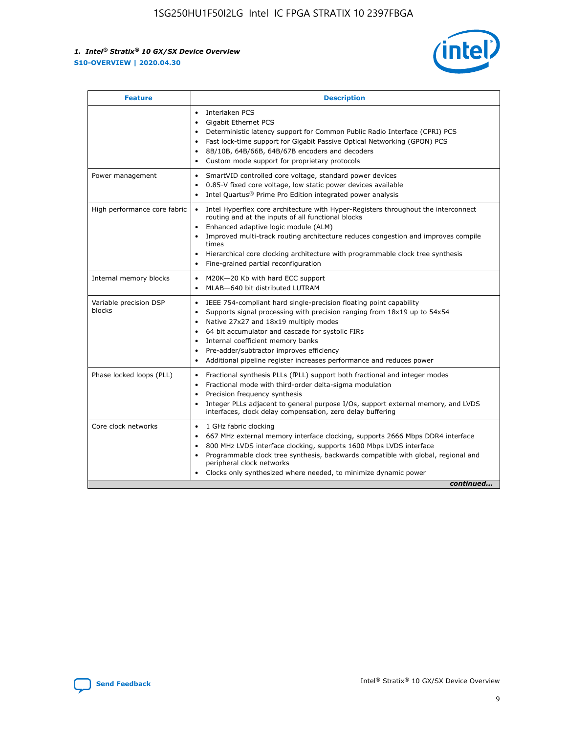

| <b>Feature</b>                   | <b>Description</b>                                                                                                                                                                                                                                                                                                                                                                                                                            |
|----------------------------------|-----------------------------------------------------------------------------------------------------------------------------------------------------------------------------------------------------------------------------------------------------------------------------------------------------------------------------------------------------------------------------------------------------------------------------------------------|
|                                  | Interlaken PCS<br>$\bullet$<br><b>Gigabit Ethernet PCS</b><br>$\bullet$<br>Deterministic latency support for Common Public Radio Interface (CPRI) PCS<br>$\bullet$<br>Fast lock-time support for Gigabit Passive Optical Networking (GPON) PCS<br>$\bullet$<br>8B/10B, 64B/66B, 64B/67B encoders and decoders<br>Custom mode support for proprietary protocols                                                                                |
| Power management                 | SmartVID controlled core voltage, standard power devices<br>$\bullet$<br>0.85-V fixed core voltage, low static power devices available<br>$\bullet$<br>Intel Quartus <sup>®</sup> Prime Pro Edition integrated power analysis                                                                                                                                                                                                                 |
| High performance core fabric     | Intel Hyperflex core architecture with Hyper-Registers throughout the interconnect<br>routing and at the inputs of all functional blocks<br>Enhanced adaptive logic module (ALM)<br>Improved multi-track routing architecture reduces congestion and improves compile<br>times<br>Hierarchical core clocking architecture with programmable clock tree synthesis<br>Fine-grained partial reconfiguration                                      |
| Internal memory blocks           | M20K-20 Kb with hard ECC support<br>MLAB-640 bit distributed LUTRAM                                                                                                                                                                                                                                                                                                                                                                           |
| Variable precision DSP<br>blocks | IEEE 754-compliant hard single-precision floating point capability<br>$\bullet$<br>Supports signal processing with precision ranging from 18x19 up to 54x54<br>$\bullet$<br>Native 27x27 and 18x19 multiply modes<br>٠<br>64 bit accumulator and cascade for systolic FIRs<br>Internal coefficient memory banks<br>Pre-adder/subtractor improves efficiency<br>٠<br>Additional pipeline register increases performance and reduces power<br>٠ |
| Phase locked loops (PLL)         | Fractional synthesis PLLs (fPLL) support both fractional and integer modes<br>$\bullet$<br>Fractional mode with third-order delta-sigma modulation<br>Precision frequency synthesis<br>٠<br>Integer PLLs adjacent to general purpose I/Os, support external memory, and LVDS<br>٠<br>interfaces, clock delay compensation, zero delay buffering                                                                                               |
| Core clock networks              | 1 GHz fabric clocking<br>٠<br>667 MHz external memory interface clocking, supports 2666 Mbps DDR4 interface<br>800 MHz LVDS interface clocking, supports 1600 Mbps LVDS interface<br>$\bullet$<br>Programmable clock tree synthesis, backwards compatible with global, regional and<br>$\bullet$<br>peripheral clock networks<br>Clocks only synthesized where needed, to minimize dynamic power<br>continued                                 |

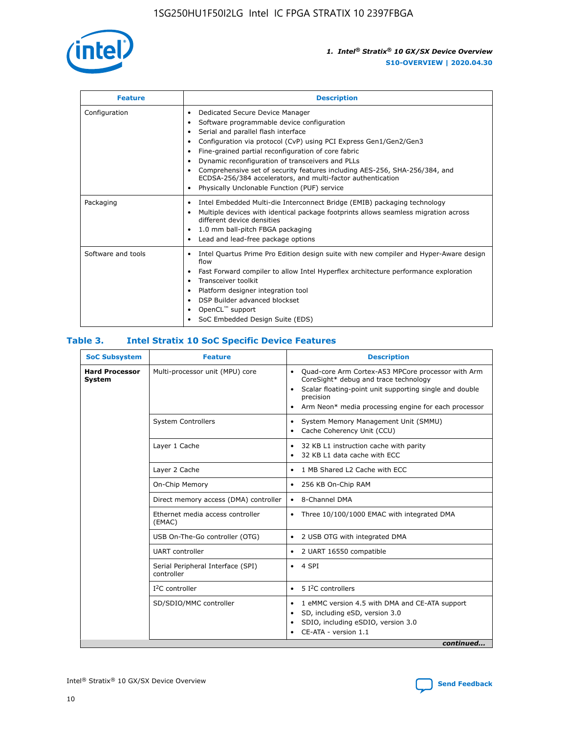

| <b>Feature</b>     | <b>Description</b>                                                                                                                                                                                                                                                                                                                                                                                                                                                                                               |
|--------------------|------------------------------------------------------------------------------------------------------------------------------------------------------------------------------------------------------------------------------------------------------------------------------------------------------------------------------------------------------------------------------------------------------------------------------------------------------------------------------------------------------------------|
| Configuration      | Dedicated Secure Device Manager<br>٠<br>Software programmable device configuration<br>Serial and parallel flash interface<br>Configuration via protocol (CvP) using PCI Express Gen1/Gen2/Gen3<br>Fine-grained partial reconfiguration of core fabric<br>٠<br>Dynamic reconfiguration of transceivers and PLLs<br>٠<br>Comprehensive set of security features including AES-256, SHA-256/384, and<br>ECDSA-256/384 accelerators, and multi-factor authentication<br>Physically Unclonable Function (PUF) service |
| Packaging          | Intel Embedded Multi-die Interconnect Bridge (EMIB) packaging technology<br>٠<br>Multiple devices with identical package footprints allows seamless migration across<br>$\bullet$<br>different device densities<br>1.0 mm ball-pitch FBGA packaging<br>٠<br>Lead and lead-free package options                                                                                                                                                                                                                   |
| Software and tools | Intel Quartus Prime Pro Edition design suite with new compiler and Hyper-Aware design<br>$\bullet$<br>flow<br>Fast Forward compiler to allow Intel Hyperflex architecture performance exploration<br>٠<br>Transceiver toolkit<br>Platform designer integration tool<br>DSP Builder advanced blockset<br>OpenCL <sup>™</sup> support<br>SoC Embedded Design Suite (EDS)                                                                                                                                           |

## **Table 3. Intel Stratix 10 SoC Specific Device Features**

| <b>Hard Processor</b><br>Multi-processor unit (MPU) core<br>Quad-core Arm Cortex-A53 MPCore processor with Arm<br>$\bullet$<br>CoreSight* debug and trace technology<br>System<br>Scalar floating-point unit supporting single and double<br>$\bullet$<br>precision<br>Arm Neon* media processing engine for each processor<br>$\bullet$<br><b>System Controllers</b><br>System Memory Management Unit (SMMU)<br>$\bullet$<br>Cache Coherency Unit (CCU)<br>$\bullet$<br>Layer 1 Cache<br>32 KB L1 instruction cache with parity<br>$\bullet$<br>32 KB L1 data cache with ECC<br>$\bullet$<br>Layer 2 Cache<br>1 MB Shared L2 Cache with ECC<br>$\bullet$<br>On-Chip Memory<br>256 KB On-Chip RAM<br>٠<br>8-Channel DMA<br>Direct memory access (DMA) controller<br>$\bullet$<br>Ethernet media access controller<br>Three 10/100/1000 EMAC with integrated DMA<br>$\bullet$<br>(EMAC)<br>USB On-The-Go controller (OTG)<br>2 USB OTG with integrated DMA<br>$\bullet$<br><b>UART</b> controller<br>2 UART 16550 compatible<br>$\bullet$<br>Serial Peripheral Interface (SPI)<br>4 SPI<br>$\bullet$<br>controller<br>$I2C$ controller<br>5 <sup>2</sup> C controllers<br>$\bullet$<br>SD/SDIO/MMC controller<br>1 eMMC version 4.5 with DMA and CE-ATA support<br>$\bullet$<br>SD, including eSD, version 3.0<br>$\bullet$<br>SDIO, including eSDIO, version 3.0<br>$\bullet$<br>CE-ATA - version 1.1 | <b>SoC Subsystem</b> | <b>Feature</b> | <b>Description</b> |
|-------------------------------------------------------------------------------------------------------------------------------------------------------------------------------------------------------------------------------------------------------------------------------------------------------------------------------------------------------------------------------------------------------------------------------------------------------------------------------------------------------------------------------------------------------------------------------------------------------------------------------------------------------------------------------------------------------------------------------------------------------------------------------------------------------------------------------------------------------------------------------------------------------------------------------------------------------------------------------------------------------------------------------------------------------------------------------------------------------------------------------------------------------------------------------------------------------------------------------------------------------------------------------------------------------------------------------------------------------------------------------------------------------|----------------------|----------------|--------------------|
|                                                                                                                                                                                                                                                                                                                                                                                                                                                                                                                                                                                                                                                                                                                                                                                                                                                                                                                                                                                                                                                                                                                                                                                                                                                                                                                                                                                                       |                      |                |                    |
|                                                                                                                                                                                                                                                                                                                                                                                                                                                                                                                                                                                                                                                                                                                                                                                                                                                                                                                                                                                                                                                                                                                                                                                                                                                                                                                                                                                                       |                      |                |                    |
|                                                                                                                                                                                                                                                                                                                                                                                                                                                                                                                                                                                                                                                                                                                                                                                                                                                                                                                                                                                                                                                                                                                                                                                                                                                                                                                                                                                                       |                      |                |                    |
|                                                                                                                                                                                                                                                                                                                                                                                                                                                                                                                                                                                                                                                                                                                                                                                                                                                                                                                                                                                                                                                                                                                                                                                                                                                                                                                                                                                                       |                      |                |                    |
|                                                                                                                                                                                                                                                                                                                                                                                                                                                                                                                                                                                                                                                                                                                                                                                                                                                                                                                                                                                                                                                                                                                                                                                                                                                                                                                                                                                                       |                      |                |                    |
|                                                                                                                                                                                                                                                                                                                                                                                                                                                                                                                                                                                                                                                                                                                                                                                                                                                                                                                                                                                                                                                                                                                                                                                                                                                                                                                                                                                                       |                      |                |                    |
|                                                                                                                                                                                                                                                                                                                                                                                                                                                                                                                                                                                                                                                                                                                                                                                                                                                                                                                                                                                                                                                                                                                                                                                                                                                                                                                                                                                                       |                      |                |                    |
|                                                                                                                                                                                                                                                                                                                                                                                                                                                                                                                                                                                                                                                                                                                                                                                                                                                                                                                                                                                                                                                                                                                                                                                                                                                                                                                                                                                                       |                      |                |                    |
|                                                                                                                                                                                                                                                                                                                                                                                                                                                                                                                                                                                                                                                                                                                                                                                                                                                                                                                                                                                                                                                                                                                                                                                                                                                                                                                                                                                                       |                      |                |                    |
|                                                                                                                                                                                                                                                                                                                                                                                                                                                                                                                                                                                                                                                                                                                                                                                                                                                                                                                                                                                                                                                                                                                                                                                                                                                                                                                                                                                                       |                      |                |                    |
|                                                                                                                                                                                                                                                                                                                                                                                                                                                                                                                                                                                                                                                                                                                                                                                                                                                                                                                                                                                                                                                                                                                                                                                                                                                                                                                                                                                                       |                      |                |                    |
| continued                                                                                                                                                                                                                                                                                                                                                                                                                                                                                                                                                                                                                                                                                                                                                                                                                                                                                                                                                                                                                                                                                                                                                                                                                                                                                                                                                                                             |                      |                |                    |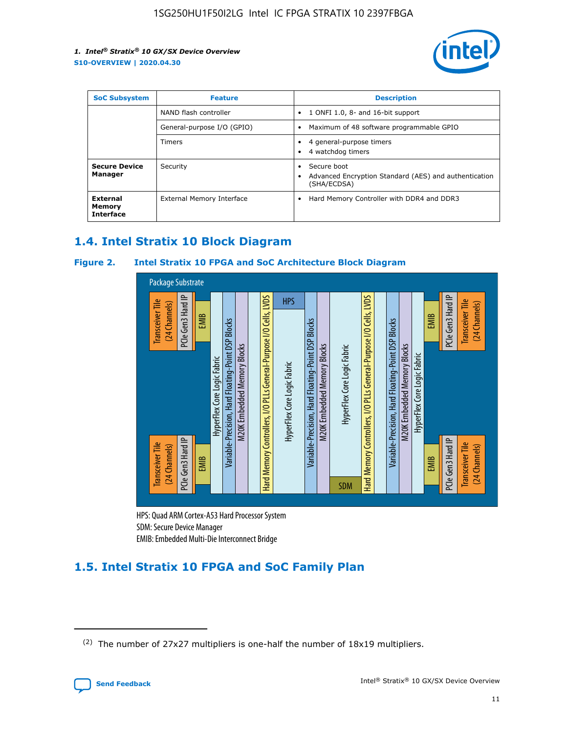

| <b>SoC Subsystem</b>                   | <b>Feature</b>             | <b>Description</b>                                                                                    |  |  |
|----------------------------------------|----------------------------|-------------------------------------------------------------------------------------------------------|--|--|
|                                        | NAND flash controller      | 1 ONFI 1.0, 8- and 16-bit support<br>$\bullet$                                                        |  |  |
|                                        | General-purpose I/O (GPIO) | Maximum of 48 software programmable GPIO<br>$\bullet$                                                 |  |  |
|                                        | Timers                     | 4 general-purpose timers<br>4 watchdog timers<br>٠                                                    |  |  |
| <b>Secure Device</b><br>Manager        | Security                   | Secure boot<br>$\bullet$<br>Advanced Encryption Standard (AES) and authentication<br>٠<br>(SHA/ECDSA) |  |  |
| External<br>Memory<br><b>Interface</b> | External Memory Interface  | Hard Memory Controller with DDR4 and DDR3<br>$\bullet$                                                |  |  |

## **1.4. Intel Stratix 10 Block Diagram**

## **Figure 2. Intel Stratix 10 FPGA and SoC Architecture Block Diagram**



HPS: Quad ARM Cortex-A53 Hard Processor System SDM: Secure Device Manager

# **1.5. Intel Stratix 10 FPGA and SoC Family Plan**

<sup>(2)</sup> The number of 27x27 multipliers is one-half the number of 18x19 multipliers.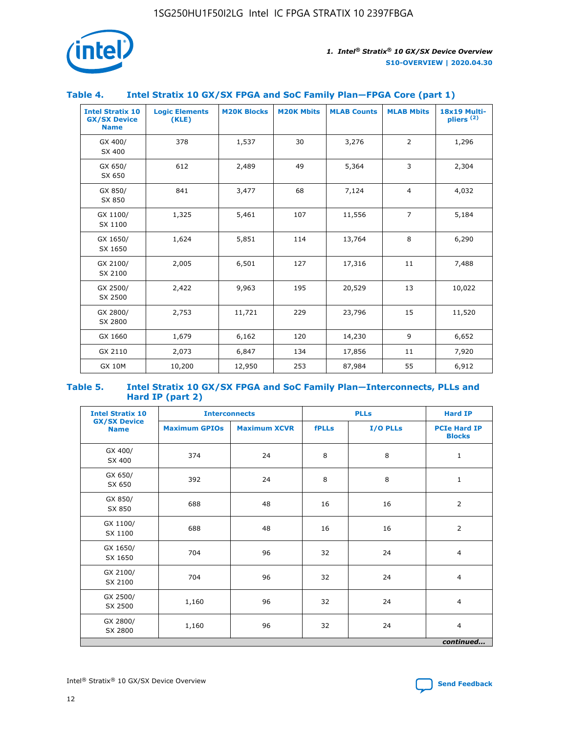

## **Table 4. Intel Stratix 10 GX/SX FPGA and SoC Family Plan—FPGA Core (part 1)**

| <b>Intel Stratix 10</b><br><b>GX/SX Device</b><br><b>Name</b> | <b>Logic Elements</b><br>(KLE) | <b>M20K Blocks</b> | <b>M20K Mbits</b> | <b>MLAB Counts</b> | <b>MLAB Mbits</b> | 18x19 Multi-<br>pliers <sup>(2)</sup> |
|---------------------------------------------------------------|--------------------------------|--------------------|-------------------|--------------------|-------------------|---------------------------------------|
| GX 400/<br>SX 400                                             | 378                            | 1,537              | 30                | 3,276              | $\overline{2}$    | 1,296                                 |
| GX 650/<br>SX 650                                             | 612                            | 2,489              | 49                | 5,364              | 3                 | 2,304                                 |
| GX 850/<br>SX 850                                             | 841                            | 3,477              | 68                | 7,124              | $\overline{4}$    | 4,032                                 |
| GX 1100/<br>SX 1100                                           | 1,325                          | 5,461              | 107               | 11,556             | $\overline{7}$    | 5,184                                 |
| GX 1650/<br>SX 1650                                           | 1,624                          | 5,851              | 114               | 13,764             | 8                 | 6,290                                 |
| GX 2100/<br>SX 2100                                           | 2,005                          | 6,501              | 127               | 17,316             | 11                | 7,488                                 |
| GX 2500/<br>SX 2500                                           | 2,422                          | 9,963              | 195               | 20,529             | 13                | 10,022                                |
| GX 2800/<br>SX 2800                                           | 2,753                          | 11,721             | 229               | 23,796             | 15                | 11,520                                |
| GX 1660                                                       | 1,679                          | 6,162              | 120               | 14,230             | 9                 | 6,652                                 |
| GX 2110                                                       | 2,073                          | 6,847              | 134               | 17,856             | 11                | 7,920                                 |
| <b>GX 10M</b>                                                 | 10,200                         | 12,950             | 253               | 87,984             | 55                | 6,912                                 |

#### **Table 5. Intel Stratix 10 GX/SX FPGA and SoC Family Plan—Interconnects, PLLs and Hard IP (part 2)**

| <b>Intel Stratix 10</b>            | <b>Interconnects</b> |                     |              | <b>PLLs</b> | <b>Hard IP</b>                       |  |
|------------------------------------|----------------------|---------------------|--------------|-------------|--------------------------------------|--|
| <b>GX/SX Device</b><br><b>Name</b> | <b>Maximum GPIOs</b> | <b>Maximum XCVR</b> | <b>fPLLs</b> | I/O PLLs    | <b>PCIe Hard IP</b><br><b>Blocks</b> |  |
| GX 400/<br>SX 400                  | 374                  | 24                  | 8            | 8           | $\mathbf{1}$                         |  |
| GX 650/<br>SX 650                  | 392                  | 24                  | 8            | 8           | $\mathbf{1}$                         |  |
| GX 850/<br>SX 850                  | 688                  | 48                  | 16           | 16          | 2                                    |  |
| GX 1100/<br>SX 1100                | 688                  | 48                  | 16           | 16          | 2                                    |  |
| GX 1650/<br>SX 1650                | 704                  | 96                  | 32           | 24          | $\overline{4}$                       |  |
| GX 2100/<br>SX 2100                | 704                  | 96                  | 32           | 24          | $\overline{4}$                       |  |
| GX 2500/<br>SX 2500                | 1,160                | 96                  | 32           | 24          | $\overline{4}$                       |  |
| GX 2800/<br>SX 2800                | 1,160                | 96                  | 32           | 24          | $\overline{4}$                       |  |
| continued                          |                      |                     |              |             |                                      |  |

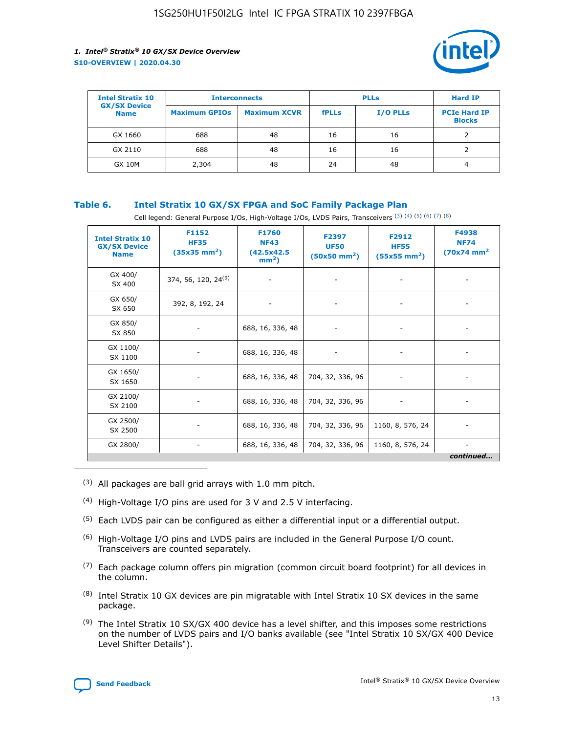

| <b>Intel Stratix 10</b>            | <b>Interconnects</b> |                     | <b>PLLs</b>  |                 | <b>Hard IP</b>                       |
|------------------------------------|----------------------|---------------------|--------------|-----------------|--------------------------------------|
| <b>GX/SX Device</b><br><b>Name</b> | <b>Maximum GPIOs</b> | <b>Maximum XCVR</b> | <b>fPLLs</b> | <b>I/O PLLs</b> | <b>PCIe Hard IP</b><br><b>Blocks</b> |
| GX 1660                            | 688                  | 48                  | 16           | 16              |                                      |
| GX 2110                            | 688                  | 48                  | 16           | 16              |                                      |
| <b>GX 10M</b>                      | 2,304                | 48                  | 24           | 48              | 4                                    |

## **Table 6. Intel Stratix 10 GX/SX FPGA and SoC Family Package Plan**

Cell legend: General Purpose I/Os, High-Voltage I/Os, LVDS Pairs, Transceivers (3) (4) (5) (6) (7) (8)

| <b>Intel Stratix 10</b><br><b>GX/SX Device</b><br><b>Name</b> | F1152<br><b>HF35</b><br>$(35x35 \text{ mm}^2)$ | <b>F1760</b><br><b>NF43</b><br>(42.5x42.5<br>$mm2$ ) | F2397<br><b>UF50</b><br>$(50x50 \text{ mm}^2)$ | F2912<br><b>HF55</b><br>$(55x55 \text{ mm}^2)$ | F4938<br><b>NF74</b><br>$(70x74)$ mm <sup>2</sup> |
|---------------------------------------------------------------|------------------------------------------------|------------------------------------------------------|------------------------------------------------|------------------------------------------------|---------------------------------------------------|
| GX 400/<br>SX 400                                             | 374, 56, 120, 24 <sup>(9)</sup>                | $\overline{\phantom{a}}$                             | $\overline{\phantom{a}}$                       |                                                |                                                   |
| GX 650/<br>SX 650                                             | 392, 8, 192, 24                                | ٠                                                    | $\overline{\phantom{a}}$                       |                                                |                                                   |
| GX 850/<br>SX 850                                             |                                                | 688, 16, 336, 48                                     |                                                |                                                |                                                   |
| GX 1100/<br>SX 1100                                           |                                                | 688, 16, 336, 48                                     |                                                |                                                |                                                   |
| GX 1650/<br>SX 1650                                           |                                                | 688, 16, 336, 48                                     | 704, 32, 336, 96                               |                                                |                                                   |
| GX 2100/<br>SX 2100                                           |                                                | 688, 16, 336, 48                                     | 704, 32, 336, 96                               | -                                              | ۰                                                 |
| GX 2500/<br>SX 2500                                           |                                                | 688, 16, 336, 48                                     | 704, 32, 336, 96                               | 1160, 8, 576, 24                               |                                                   |
| GX 2800/                                                      | $\overline{\phantom{a}}$                       | 688, 16, 336, 48                                     | 704, 32, 336, 96                               | 1160, 8, 576, 24                               | ٠<br>continued                                    |

- (3) All packages are ball grid arrays with 1.0 mm pitch.
- (4) High-Voltage I/O pins are used for 3 V and 2.5 V interfacing.
- $(5)$  Each LVDS pair can be configured as either a differential input or a differential output.
- (6) High-Voltage I/O pins and LVDS pairs are included in the General Purpose I/O count. Transceivers are counted separately.
- $(7)$  Each package column offers pin migration (common circuit board footprint) for all devices in the column.
- $(8)$  Intel Stratix 10 GX devices are pin migratable with Intel Stratix 10 SX devices in the same package.
- $(9)$  The Intel Stratix 10 SX/GX 400 device has a level shifter, and this imposes some restrictions on the number of LVDS pairs and I/O banks available (see "Intel Stratix 10 SX/GX 400 Device Level Shifter Details").

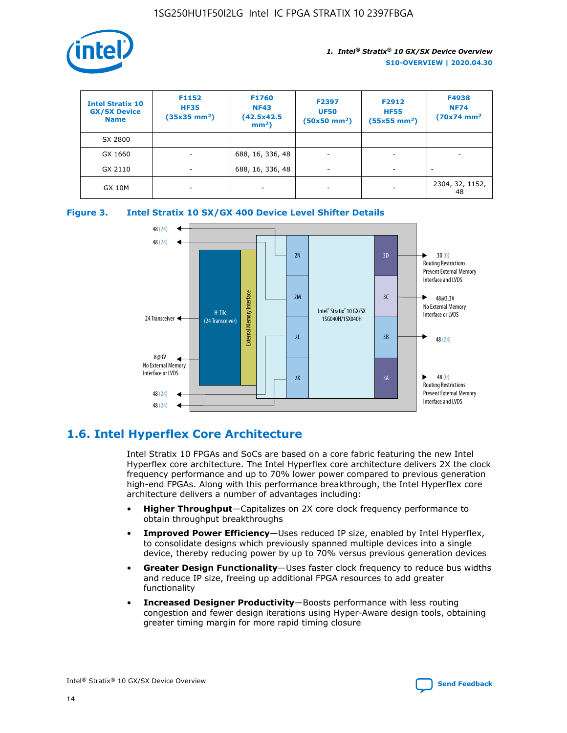

| <b>Intel Stratix 10</b><br><b>GX/SX Device</b><br><b>Name</b> | F1152<br><b>HF35</b><br>$(35x35)$ mm <sup>2</sup> ) | F1760<br><b>NF43</b><br>(42.5x42.5<br>$mm2$ ) | F2397<br><b>UF50</b><br>$(50x50 \text{ mm}^2)$ | F2912<br><b>HF55</b><br>$(55x55$ mm <sup>2</sup> ) | F4938<br><b>NF74</b><br>$(70x74)$ mm <sup>2</sup> |
|---------------------------------------------------------------|-----------------------------------------------------|-----------------------------------------------|------------------------------------------------|----------------------------------------------------|---------------------------------------------------|
| SX 2800                                                       |                                                     |                                               |                                                |                                                    |                                                   |
| GX 1660                                                       | -                                                   | 688, 16, 336, 48                              | $\overline{\phantom{a}}$                       |                                                    |                                                   |
| GX 2110                                                       |                                                     | 688, 16, 336, 48                              | $\overline{\phantom{a}}$                       |                                                    |                                                   |
| <b>GX 10M</b>                                                 | ۰                                                   |                                               |                                                |                                                    | 2304, 32, 1152,<br>48                             |





## **1.6. Intel Hyperflex Core Architecture**

Intel Stratix 10 FPGAs and SoCs are based on a core fabric featuring the new Intel Hyperflex core architecture. The Intel Hyperflex core architecture delivers 2X the clock frequency performance and up to 70% lower power compared to previous generation high-end FPGAs. Along with this performance breakthrough, the Intel Hyperflex core architecture delivers a number of advantages including:

- **Higher Throughput**—Capitalizes on 2X core clock frequency performance to obtain throughput breakthroughs
- **Improved Power Efficiency**—Uses reduced IP size, enabled by Intel Hyperflex, to consolidate designs which previously spanned multiple devices into a single device, thereby reducing power by up to 70% versus previous generation devices
- **Greater Design Functionality**—Uses faster clock frequency to reduce bus widths and reduce IP size, freeing up additional FPGA resources to add greater functionality
- **Increased Designer Productivity**—Boosts performance with less routing congestion and fewer design iterations using Hyper-Aware design tools, obtaining greater timing margin for more rapid timing closure

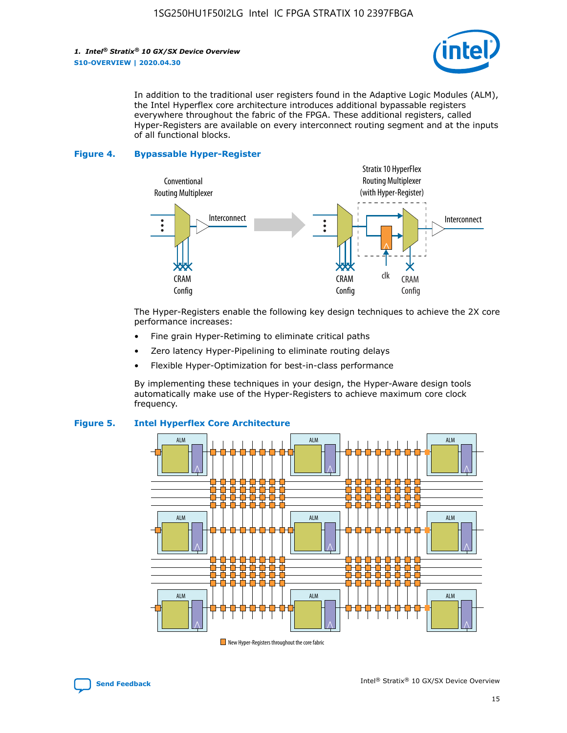

In addition to the traditional user registers found in the Adaptive Logic Modules (ALM), the Intel Hyperflex core architecture introduces additional bypassable registers everywhere throughout the fabric of the FPGA. These additional registers, called Hyper-Registers are available on every interconnect routing segment and at the inputs of all functional blocks.

#### **Figure 4. Bypassable Hyper-Register**



The Hyper-Registers enable the following key design techniques to achieve the 2X core performance increases:

- Fine grain Hyper-Retiming to eliminate critical paths
- Zero latency Hyper-Pipelining to eliminate routing delays
- Flexible Hyper-Optimization for best-in-class performance

By implementing these techniques in your design, the Hyper-Aware design tools automatically make use of the Hyper-Registers to achieve maximum core clock frequency.



## **Figure 5. Intel Hyperflex Core Architecture**

New Hyper-Registers throughout the core fabric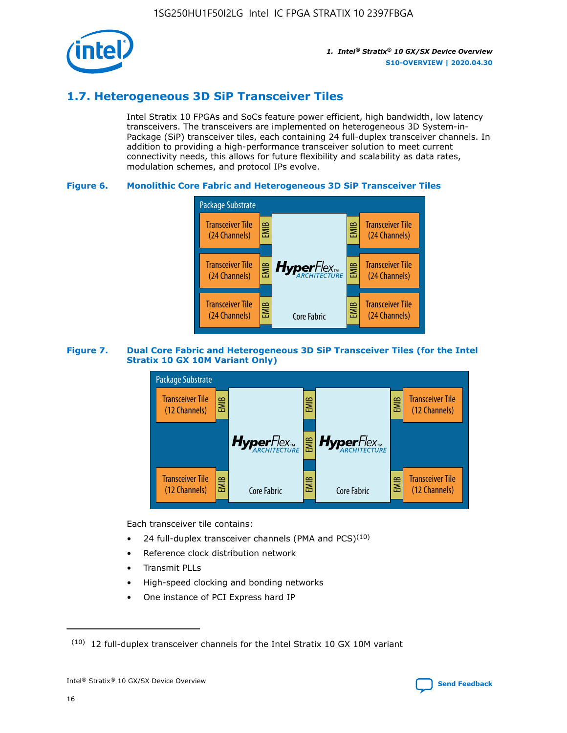

## **1.7. Heterogeneous 3D SiP Transceiver Tiles**

Intel Stratix 10 FPGAs and SoCs feature power efficient, high bandwidth, low latency transceivers. The transceivers are implemented on heterogeneous 3D System-in-Package (SiP) transceiver tiles, each containing 24 full-duplex transceiver channels. In addition to providing a high-performance transceiver solution to meet current connectivity needs, this allows for future flexibility and scalability as data rates, modulation schemes, and protocol IPs evolve.

## **Figure 6. Monolithic Core Fabric and Heterogeneous 3D SiP Transceiver Tiles**



## **Figure 7. Dual Core Fabric and Heterogeneous 3D SiP Transceiver Tiles (for the Intel Stratix 10 GX 10M Variant Only)**



Each transceiver tile contains:

- 24 full-duplex transceiver channels (PMA and PCS) $(10)$
- Reference clock distribution network
- Transmit PLLs
- High-speed clocking and bonding networks
- One instance of PCI Express hard IP

 $(10)$  12 full-duplex transceiver channels for the Intel Stratix 10 GX 10M variant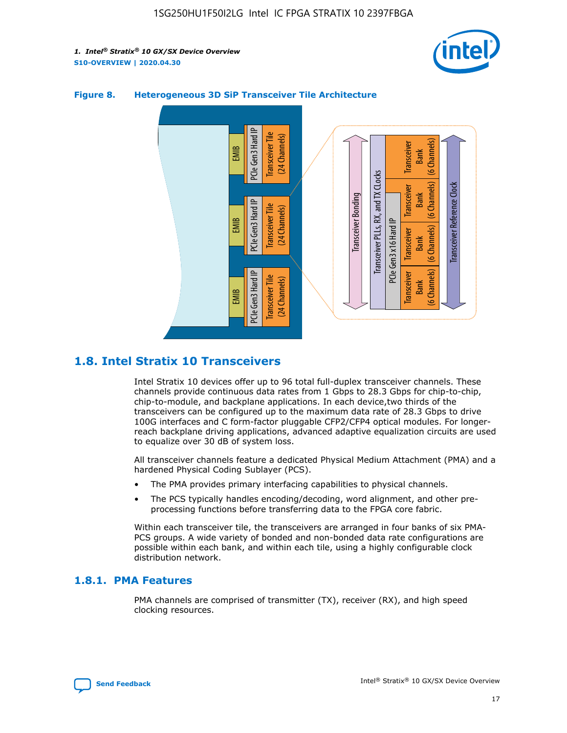



## **Figure 8. Heterogeneous 3D SiP Transceiver Tile Architecture**

## **1.8. Intel Stratix 10 Transceivers**

Intel Stratix 10 devices offer up to 96 total full-duplex transceiver channels. These channels provide continuous data rates from 1 Gbps to 28.3 Gbps for chip-to-chip, chip-to-module, and backplane applications. In each device,two thirds of the transceivers can be configured up to the maximum data rate of 28.3 Gbps to drive 100G interfaces and C form-factor pluggable CFP2/CFP4 optical modules. For longerreach backplane driving applications, advanced adaptive equalization circuits are used to equalize over 30 dB of system loss.

All transceiver channels feature a dedicated Physical Medium Attachment (PMA) and a hardened Physical Coding Sublayer (PCS).

- The PMA provides primary interfacing capabilities to physical channels.
- The PCS typically handles encoding/decoding, word alignment, and other preprocessing functions before transferring data to the FPGA core fabric.

Within each transceiver tile, the transceivers are arranged in four banks of six PMA-PCS groups. A wide variety of bonded and non-bonded data rate configurations are possible within each bank, and within each tile, using a highly configurable clock distribution network.

## **1.8.1. PMA Features**

PMA channels are comprised of transmitter (TX), receiver (RX), and high speed clocking resources.

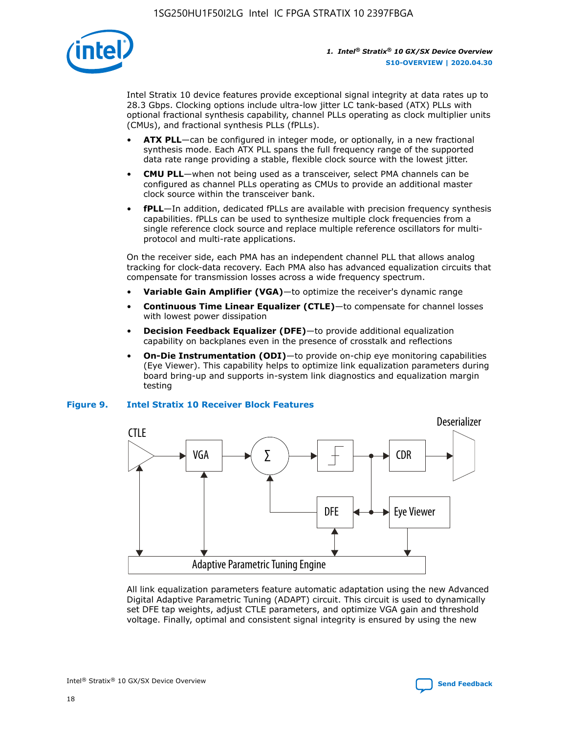

Intel Stratix 10 device features provide exceptional signal integrity at data rates up to 28.3 Gbps. Clocking options include ultra-low jitter LC tank-based (ATX) PLLs with optional fractional synthesis capability, channel PLLs operating as clock multiplier units (CMUs), and fractional synthesis PLLs (fPLLs).

- **ATX PLL**—can be configured in integer mode, or optionally, in a new fractional synthesis mode. Each ATX PLL spans the full frequency range of the supported data rate range providing a stable, flexible clock source with the lowest jitter.
- **CMU PLL**—when not being used as a transceiver, select PMA channels can be configured as channel PLLs operating as CMUs to provide an additional master clock source within the transceiver bank.
- **fPLL**—In addition, dedicated fPLLs are available with precision frequency synthesis capabilities. fPLLs can be used to synthesize multiple clock frequencies from a single reference clock source and replace multiple reference oscillators for multiprotocol and multi-rate applications.

On the receiver side, each PMA has an independent channel PLL that allows analog tracking for clock-data recovery. Each PMA also has advanced equalization circuits that compensate for transmission losses across a wide frequency spectrum.

- **Variable Gain Amplifier (VGA)**—to optimize the receiver's dynamic range
- **Continuous Time Linear Equalizer (CTLE)**—to compensate for channel losses with lowest power dissipation
- **Decision Feedback Equalizer (DFE)**—to provide additional equalization capability on backplanes even in the presence of crosstalk and reflections
- **On-Die Instrumentation (ODI)**—to provide on-chip eye monitoring capabilities (Eye Viewer). This capability helps to optimize link equalization parameters during board bring-up and supports in-system link diagnostics and equalization margin testing

## **Figure 9. Intel Stratix 10 Receiver Block Features**



All link equalization parameters feature automatic adaptation using the new Advanced Digital Adaptive Parametric Tuning (ADAPT) circuit. This circuit is used to dynamically set DFE tap weights, adjust CTLE parameters, and optimize VGA gain and threshold voltage. Finally, optimal and consistent signal integrity is ensured by using the new



Intel<sup>®</sup> Stratix<sup>®</sup> 10 GX/SX Device Overview **[Send Feedback](mailto:FPGAtechdocfeedback@intel.com?subject=Feedback%20on%20Intel%20Stratix%2010%20GX/SX%20Device%20Overview%20(S10-OVERVIEW%202020.04.30)&body=We%20appreciate%20your%20feedback.%20In%20your%20comments,%20also%20specify%20the%20page%20number%20or%20paragraph.%20Thank%20you.)** Send Feedback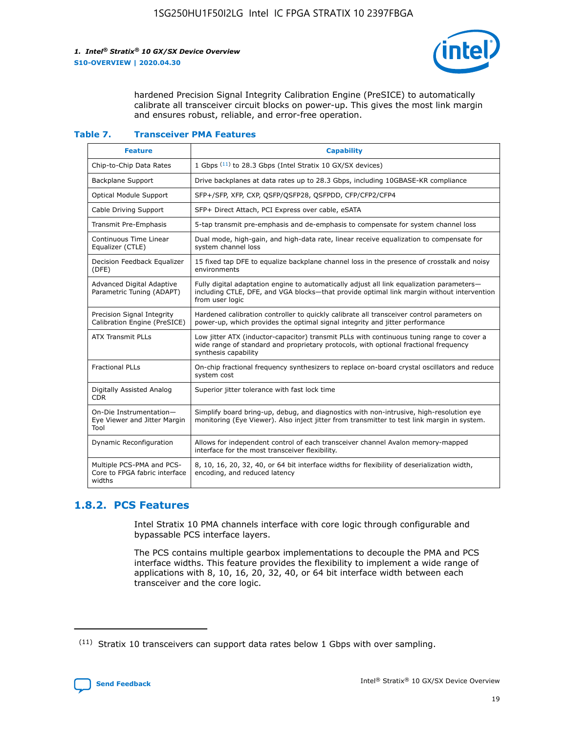

hardened Precision Signal Integrity Calibration Engine (PreSICE) to automatically calibrate all transceiver circuit blocks on power-up. This gives the most link margin and ensures robust, reliable, and error-free operation.

#### **Table 7. Transceiver PMA Features**

| <b>Feature</b>                                                       | <b>Capability</b>                                                                                                                                                                                         |
|----------------------------------------------------------------------|-----------------------------------------------------------------------------------------------------------------------------------------------------------------------------------------------------------|
| Chip-to-Chip Data Rates                                              | 1 Gbps (11) to 28.3 Gbps (Intel Stratix 10 GX/SX devices)                                                                                                                                                 |
| <b>Backplane Support</b>                                             | Drive backplanes at data rates up to 28.3 Gbps, including 10GBASE-KR compliance                                                                                                                           |
| Optical Module Support                                               | SFP+/SFP, XFP, CXP, QSFP/QSFP28, QSFPDD, CFP/CFP2/CFP4                                                                                                                                                    |
| Cable Driving Support                                                | SFP+ Direct Attach, PCI Express over cable, eSATA                                                                                                                                                         |
| <b>Transmit Pre-Emphasis</b>                                         | 5-tap transmit pre-emphasis and de-emphasis to compensate for system channel loss                                                                                                                         |
| Continuous Time Linear<br>Equalizer (CTLE)                           | Dual mode, high-gain, and high-data rate, linear receive equalization to compensate for<br>system channel loss                                                                                            |
| Decision Feedback Equalizer<br>(DFE)                                 | 15 fixed tap DFE to equalize backplane channel loss in the presence of crosstalk and noisy<br>environments                                                                                                |
| Advanced Digital Adaptive<br>Parametric Tuning (ADAPT)               | Fully digital adaptation engine to automatically adjust all link equalization parameters-<br>including CTLE, DFE, and VGA blocks-that provide optimal link margin without intervention<br>from user logic |
| Precision Signal Integrity<br>Calibration Engine (PreSICE)           | Hardened calibration controller to quickly calibrate all transceiver control parameters on<br>power-up, which provides the optimal signal integrity and jitter performance                                |
| <b>ATX Transmit PLLs</b>                                             | Low jitter ATX (inductor-capacitor) transmit PLLs with continuous tuning range to cover a<br>wide range of standard and proprietary protocols, with optional fractional frequency<br>synthesis capability |
| <b>Fractional PLLs</b>                                               | On-chip fractional frequency synthesizers to replace on-board crystal oscillators and reduce<br>system cost                                                                                               |
| Digitally Assisted Analog<br>CDR.                                    | Superior jitter tolerance with fast lock time                                                                                                                                                             |
| On-Die Instrumentation-<br>Eye Viewer and Jitter Margin<br>Tool      | Simplify board bring-up, debug, and diagnostics with non-intrusive, high-resolution eye<br>monitoring (Eye Viewer). Also inject jitter from transmitter to test link margin in system.                    |
| Dynamic Reconfiguration                                              | Allows for independent control of each transceiver channel Avalon memory-mapped<br>interface for the most transceiver flexibility.                                                                        |
| Multiple PCS-PMA and PCS-<br>Core to FPGA fabric interface<br>widths | 8, 10, 16, 20, 32, 40, or 64 bit interface widths for flexibility of deserialization width,<br>encoding, and reduced latency                                                                              |

## **1.8.2. PCS Features**

Intel Stratix 10 PMA channels interface with core logic through configurable and bypassable PCS interface layers.

The PCS contains multiple gearbox implementations to decouple the PMA and PCS interface widths. This feature provides the flexibility to implement a wide range of applications with 8, 10, 16, 20, 32, 40, or 64 bit interface width between each transceiver and the core logic.

 $(11)$  Stratix 10 transceivers can support data rates below 1 Gbps with over sampling.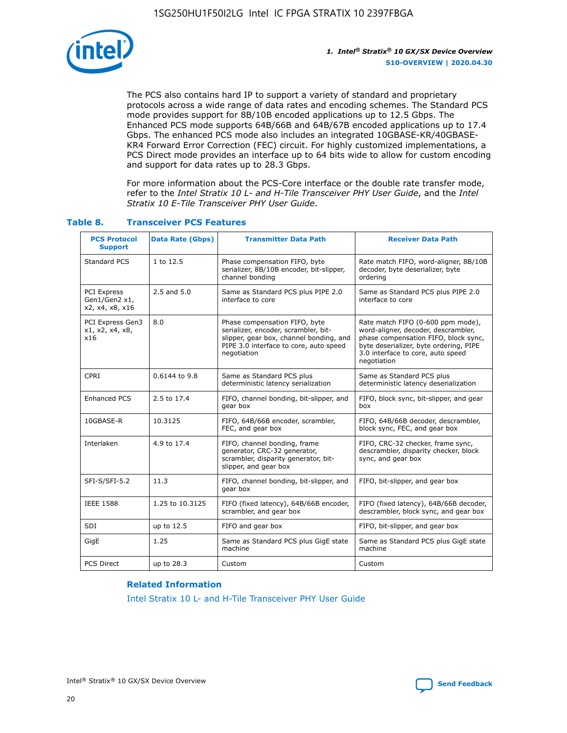

The PCS also contains hard IP to support a variety of standard and proprietary protocols across a wide range of data rates and encoding schemes. The Standard PCS mode provides support for 8B/10B encoded applications up to 12.5 Gbps. The Enhanced PCS mode supports 64B/66B and 64B/67B encoded applications up to 17.4 Gbps. The enhanced PCS mode also includes an integrated 10GBASE-KR/40GBASE-KR4 Forward Error Correction (FEC) circuit. For highly customized implementations, a PCS Direct mode provides an interface up to 64 bits wide to allow for custom encoding and support for data rates up to 28.3 Gbps.

For more information about the PCS-Core interface or the double rate transfer mode, refer to the *Intel Stratix 10 L- and H-Tile Transceiver PHY User Guide*, and the *Intel Stratix 10 E-Tile Transceiver PHY User Guide*.

| <b>PCS Protocol</b><br><b>Support</b>           | <b>Data Rate (Gbps)</b> | <b>Transmitter Data Path</b>                                                                                                                                              | <b>Receiver Data Path</b>                                                                                                                                                                                      |
|-------------------------------------------------|-------------------------|---------------------------------------------------------------------------------------------------------------------------------------------------------------------------|----------------------------------------------------------------------------------------------------------------------------------------------------------------------------------------------------------------|
| Standard PCS                                    | 1 to 12.5               | Phase compensation FIFO, byte<br>serializer, 8B/10B encoder, bit-slipper,<br>channel bonding                                                                              | Rate match FIFO, word-aligner, 8B/10B<br>decoder, byte deserializer, byte<br>ordering                                                                                                                          |
| PCI Express<br>Gen1/Gen2 x1,<br>x2, x4, x8, x16 | $2.5$ and $5.0$         | Same as Standard PCS plus PIPE 2.0<br>interface to core                                                                                                                   | Same as Standard PCS plus PIPE 2.0<br>interface to core                                                                                                                                                        |
| PCI Express Gen3<br>x1, x2, x4, x8,<br>x16      | 8.0                     | Phase compensation FIFO, byte<br>serializer, encoder, scrambler, bit-<br>slipper, gear box, channel bonding, and<br>PIPE 3.0 interface to core, auto speed<br>negotiation | Rate match FIFO (0-600 ppm mode),<br>word-aligner, decoder, descrambler,<br>phase compensation FIFO, block sync,<br>byte deserializer, byte ordering, PIPE<br>3.0 interface to core, auto speed<br>negotiation |
| CPRI                                            | 0.6144 to 9.8           | Same as Standard PCS plus<br>deterministic latency serialization                                                                                                          | Same as Standard PCS plus<br>deterministic latency deserialization                                                                                                                                             |
| <b>Enhanced PCS</b>                             | 2.5 to 17.4             | FIFO, channel bonding, bit-slipper, and<br>gear box                                                                                                                       | FIFO, block sync, bit-slipper, and gear<br>box                                                                                                                                                                 |
| 10GBASE-R                                       | 10.3125                 | FIFO, 64B/66B encoder, scrambler,<br>FEC, and gear box                                                                                                                    | FIFO, 64B/66B decoder, descrambler,<br>block sync, FEC, and gear box                                                                                                                                           |
| Interlaken                                      | 4.9 to 17.4             | FIFO, channel bonding, frame<br>generator, CRC-32 generator,<br>scrambler, disparity generator, bit-<br>slipper, and gear box                                             | FIFO, CRC-32 checker, frame sync,<br>descrambler, disparity checker, block<br>sync, and gear box                                                                                                               |
| SFI-S/SFI-5.2                                   | 11.3                    | FIFO, channel bonding, bit-slipper, and<br>gear box                                                                                                                       | FIFO, bit-slipper, and gear box                                                                                                                                                                                |
| <b>IEEE 1588</b>                                | 1.25 to 10.3125         | FIFO (fixed latency), 64B/66B encoder,<br>scrambler, and gear box                                                                                                         | FIFO (fixed latency), 64B/66B decoder,<br>descrambler, block sync, and gear box                                                                                                                                |
| SDI                                             | up to 12.5              | FIFO and gear box                                                                                                                                                         | FIFO, bit-slipper, and gear box                                                                                                                                                                                |
| GigE                                            | 1.25                    | Same as Standard PCS plus GigE state<br>machine                                                                                                                           | Same as Standard PCS plus GigE state<br>machine                                                                                                                                                                |
| <b>PCS Direct</b>                               | up to 28.3              | Custom                                                                                                                                                                    | Custom                                                                                                                                                                                                         |

## **Table 8. Transceiver PCS Features**

#### **Related Information**

[Intel Stratix 10 L- and H-Tile Transceiver PHY User Guide](https://www.altera.com/documentation/wry1479165198810.html)

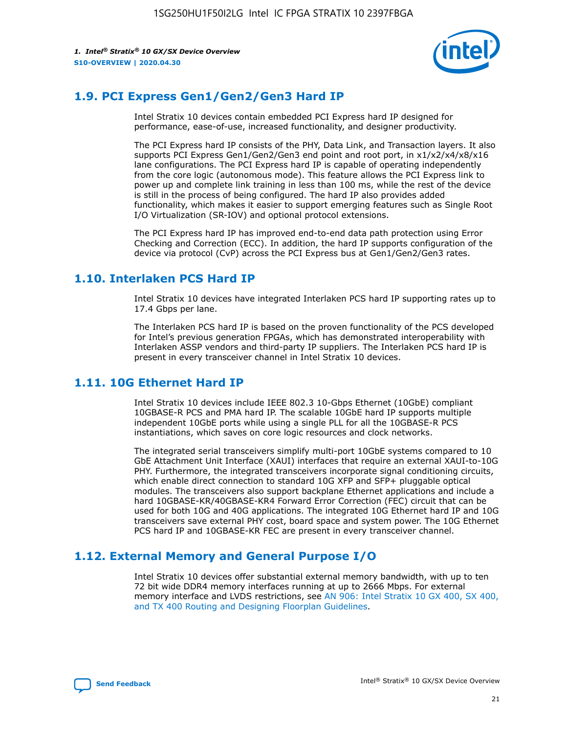

## **1.9. PCI Express Gen1/Gen2/Gen3 Hard IP**

Intel Stratix 10 devices contain embedded PCI Express hard IP designed for performance, ease-of-use, increased functionality, and designer productivity.

The PCI Express hard IP consists of the PHY, Data Link, and Transaction layers. It also supports PCI Express Gen1/Gen2/Gen3 end point and root port, in x1/x2/x4/x8/x16 lane configurations. The PCI Express hard IP is capable of operating independently from the core logic (autonomous mode). This feature allows the PCI Express link to power up and complete link training in less than 100 ms, while the rest of the device is still in the process of being configured. The hard IP also provides added functionality, which makes it easier to support emerging features such as Single Root I/O Virtualization (SR-IOV) and optional protocol extensions.

The PCI Express hard IP has improved end-to-end data path protection using Error Checking and Correction (ECC). In addition, the hard IP supports configuration of the device via protocol (CvP) across the PCI Express bus at Gen1/Gen2/Gen3 rates.

## **1.10. Interlaken PCS Hard IP**

Intel Stratix 10 devices have integrated Interlaken PCS hard IP supporting rates up to 17.4 Gbps per lane.

The Interlaken PCS hard IP is based on the proven functionality of the PCS developed for Intel's previous generation FPGAs, which has demonstrated interoperability with Interlaken ASSP vendors and third-party IP suppliers. The Interlaken PCS hard IP is present in every transceiver channel in Intel Stratix 10 devices.

## **1.11. 10G Ethernet Hard IP**

Intel Stratix 10 devices include IEEE 802.3 10-Gbps Ethernet (10GbE) compliant 10GBASE-R PCS and PMA hard IP. The scalable 10GbE hard IP supports multiple independent 10GbE ports while using a single PLL for all the 10GBASE-R PCS instantiations, which saves on core logic resources and clock networks.

The integrated serial transceivers simplify multi-port 10GbE systems compared to 10 GbE Attachment Unit Interface (XAUI) interfaces that require an external XAUI-to-10G PHY. Furthermore, the integrated transceivers incorporate signal conditioning circuits, which enable direct connection to standard 10G XFP and SFP+ pluggable optical modules. The transceivers also support backplane Ethernet applications and include a hard 10GBASE-KR/40GBASE-KR4 Forward Error Correction (FEC) circuit that can be used for both 10G and 40G applications. The integrated 10G Ethernet hard IP and 10G transceivers save external PHY cost, board space and system power. The 10G Ethernet PCS hard IP and 10GBASE-KR FEC are present in every transceiver channel.

## **1.12. External Memory and General Purpose I/O**

Intel Stratix 10 devices offer substantial external memory bandwidth, with up to ten 72 bit wide DDR4 memory interfaces running at up to 2666 Mbps. For external memory interface and LVDS restrictions, see [AN 906: Intel Stratix 10 GX 400, SX 400,](https://www.intel.com/content/www/us/en/programmable/documentation/sjf1574667190623.html#bft1574667627484) [and TX 400 Routing and Designing Floorplan Guidelines.](https://www.intel.com/content/www/us/en/programmable/documentation/sjf1574667190623.html#bft1574667627484)

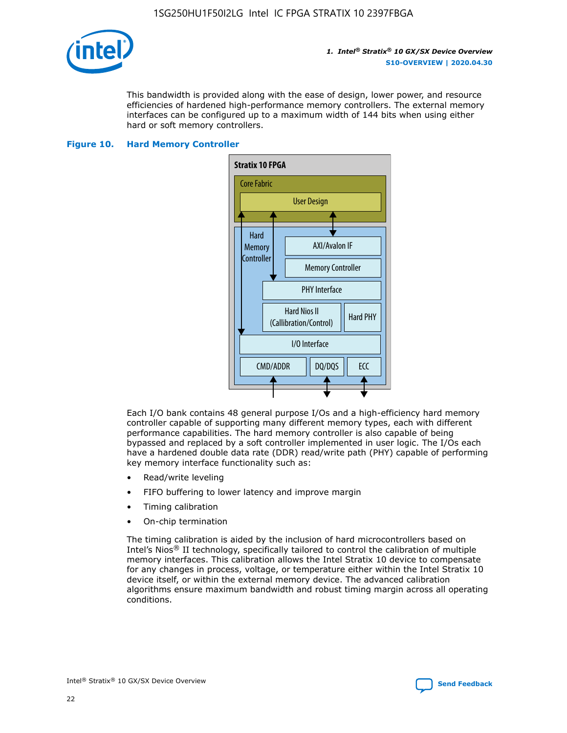

This bandwidth is provided along with the ease of design, lower power, and resource efficiencies of hardened high-performance memory controllers. The external memory interfaces can be configured up to a maximum width of 144 bits when using either hard or soft memory controllers.

#### **Figure 10. Hard Memory Controller**



Each I/O bank contains 48 general purpose I/Os and a high-efficiency hard memory controller capable of supporting many different memory types, each with different performance capabilities. The hard memory controller is also capable of being bypassed and replaced by a soft controller implemented in user logic. The I/Os each have a hardened double data rate (DDR) read/write path (PHY) capable of performing key memory interface functionality such as:

- Read/write leveling
- FIFO buffering to lower latency and improve margin
- Timing calibration
- On-chip termination

The timing calibration is aided by the inclusion of hard microcontrollers based on Intel's Nios® II technology, specifically tailored to control the calibration of multiple memory interfaces. This calibration allows the Intel Stratix 10 device to compensate for any changes in process, voltage, or temperature either within the Intel Stratix 10 device itself, or within the external memory device. The advanced calibration algorithms ensure maximum bandwidth and robust timing margin across all operating conditions.

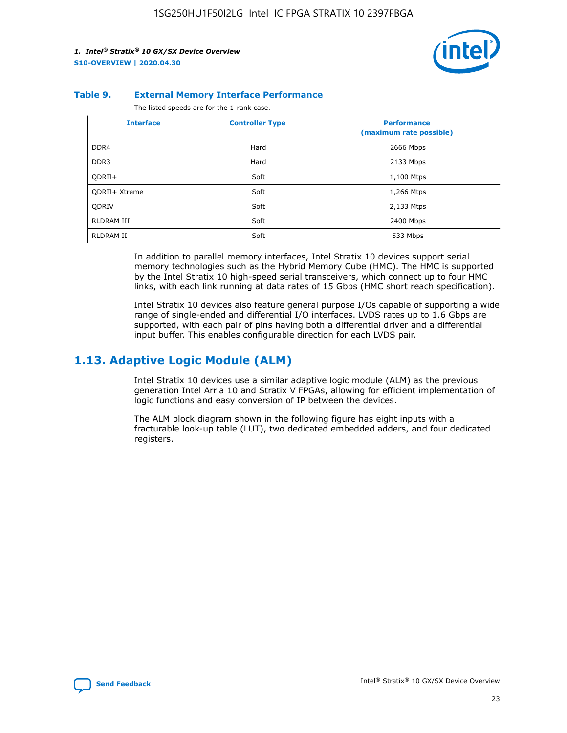

#### **Table 9. External Memory Interface Performance**

The listed speeds are for the 1-rank case.

| <b>Interface</b>  | <b>Controller Type</b> | <b>Performance</b><br>(maximum rate possible) |
|-------------------|------------------------|-----------------------------------------------|
| DDR4              | Hard                   | 2666 Mbps                                     |
| DDR <sub>3</sub>  | Hard                   | 2133 Mbps                                     |
| QDRII+            | Soft                   | 1,100 Mtps                                    |
| QDRII+ Xtreme     | Soft                   | 1,266 Mtps                                    |
| <b>ODRIV</b>      | Soft                   | 2,133 Mtps                                    |
| <b>RLDRAM III</b> | Soft                   | 2400 Mbps                                     |
| <b>RLDRAM II</b>  | Soft                   | 533 Mbps                                      |

In addition to parallel memory interfaces, Intel Stratix 10 devices support serial memory technologies such as the Hybrid Memory Cube (HMC). The HMC is supported by the Intel Stratix 10 high-speed serial transceivers, which connect up to four HMC links, with each link running at data rates of 15 Gbps (HMC short reach specification).

Intel Stratix 10 devices also feature general purpose I/Os capable of supporting a wide range of single-ended and differential I/O interfaces. LVDS rates up to 1.6 Gbps are supported, with each pair of pins having both a differential driver and a differential input buffer. This enables configurable direction for each LVDS pair.

## **1.13. Adaptive Logic Module (ALM)**

Intel Stratix 10 devices use a similar adaptive logic module (ALM) as the previous generation Intel Arria 10 and Stratix V FPGAs, allowing for efficient implementation of logic functions and easy conversion of IP between the devices.

The ALM block diagram shown in the following figure has eight inputs with a fracturable look-up table (LUT), two dedicated embedded adders, and four dedicated registers.

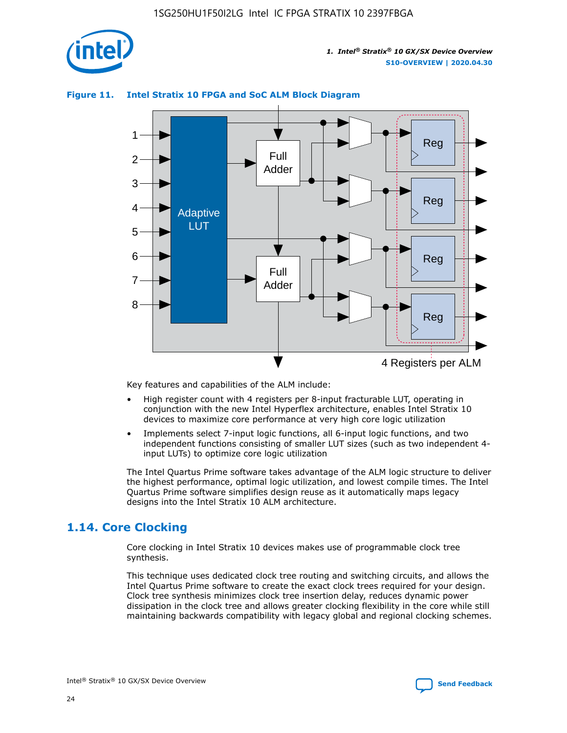

## **Figure 11. Intel Stratix 10 FPGA and SoC ALM Block Diagram**



Key features and capabilities of the ALM include:

- High register count with 4 registers per 8-input fracturable LUT, operating in conjunction with the new Intel Hyperflex architecture, enables Intel Stratix 10 devices to maximize core performance at very high core logic utilization
- Implements select 7-input logic functions, all 6-input logic functions, and two independent functions consisting of smaller LUT sizes (such as two independent 4 input LUTs) to optimize core logic utilization

The Intel Quartus Prime software takes advantage of the ALM logic structure to deliver the highest performance, optimal logic utilization, and lowest compile times. The Intel Quartus Prime software simplifies design reuse as it automatically maps legacy designs into the Intel Stratix 10 ALM architecture.

## **1.14. Core Clocking**

Core clocking in Intel Stratix 10 devices makes use of programmable clock tree synthesis.

This technique uses dedicated clock tree routing and switching circuits, and allows the Intel Quartus Prime software to create the exact clock trees required for your design. Clock tree synthesis minimizes clock tree insertion delay, reduces dynamic power dissipation in the clock tree and allows greater clocking flexibility in the core while still maintaining backwards compatibility with legacy global and regional clocking schemes.

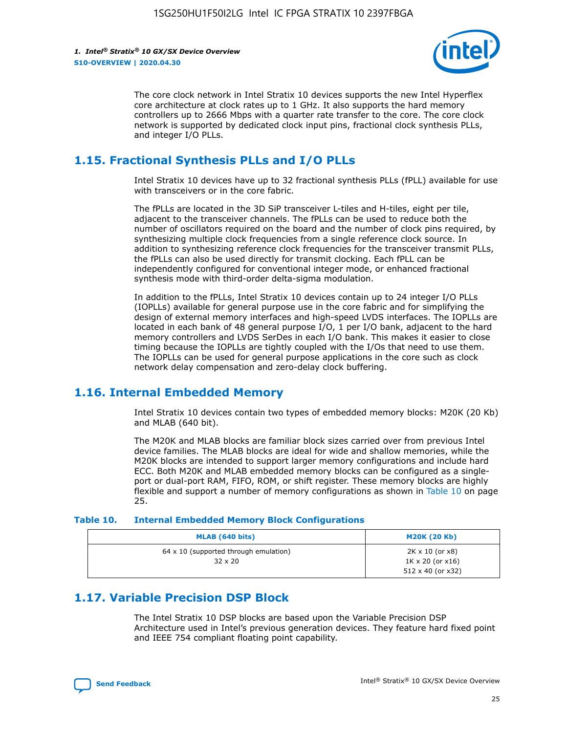

The core clock network in Intel Stratix 10 devices supports the new Intel Hyperflex core architecture at clock rates up to 1 GHz. It also supports the hard memory controllers up to 2666 Mbps with a quarter rate transfer to the core. The core clock network is supported by dedicated clock input pins, fractional clock synthesis PLLs, and integer I/O PLLs.

## **1.15. Fractional Synthesis PLLs and I/O PLLs**

Intel Stratix 10 devices have up to 32 fractional synthesis PLLs (fPLL) available for use with transceivers or in the core fabric.

The fPLLs are located in the 3D SiP transceiver L-tiles and H-tiles, eight per tile, adjacent to the transceiver channels. The fPLLs can be used to reduce both the number of oscillators required on the board and the number of clock pins required, by synthesizing multiple clock frequencies from a single reference clock source. In addition to synthesizing reference clock frequencies for the transceiver transmit PLLs, the fPLLs can also be used directly for transmit clocking. Each fPLL can be independently configured for conventional integer mode, or enhanced fractional synthesis mode with third-order delta-sigma modulation.

In addition to the fPLLs, Intel Stratix 10 devices contain up to 24 integer I/O PLLs (IOPLLs) available for general purpose use in the core fabric and for simplifying the design of external memory interfaces and high-speed LVDS interfaces. The IOPLLs are located in each bank of 48 general purpose I/O, 1 per I/O bank, adjacent to the hard memory controllers and LVDS SerDes in each I/O bank. This makes it easier to close timing because the IOPLLs are tightly coupled with the I/Os that need to use them. The IOPLLs can be used for general purpose applications in the core such as clock network delay compensation and zero-delay clock buffering.

## **1.16. Internal Embedded Memory**

Intel Stratix 10 devices contain two types of embedded memory blocks: M20K (20 Kb) and MLAB (640 bit).

The M20K and MLAB blocks are familiar block sizes carried over from previous Intel device families. The MLAB blocks are ideal for wide and shallow memories, while the M20K blocks are intended to support larger memory configurations and include hard ECC. Both M20K and MLAB embedded memory blocks can be configured as a singleport or dual-port RAM, FIFO, ROM, or shift register. These memory blocks are highly flexible and support a number of memory configurations as shown in Table 10 on page 25.

#### **Table 10. Internal Embedded Memory Block Configurations**

| MLAB (640 bits)                                                | <b>M20K (20 Kb)</b>                                                                    |
|----------------------------------------------------------------|----------------------------------------------------------------------------------------|
| $64 \times 10$ (supported through emulation)<br>$32 \times 20$ | $2K \times 10$ (or $x8$ )<br>$1K \times 20$ (or $x16$ )<br>$512 \times 40$ (or $x32$ ) |

## **1.17. Variable Precision DSP Block**

The Intel Stratix 10 DSP blocks are based upon the Variable Precision DSP Architecture used in Intel's previous generation devices. They feature hard fixed point and IEEE 754 compliant floating point capability.

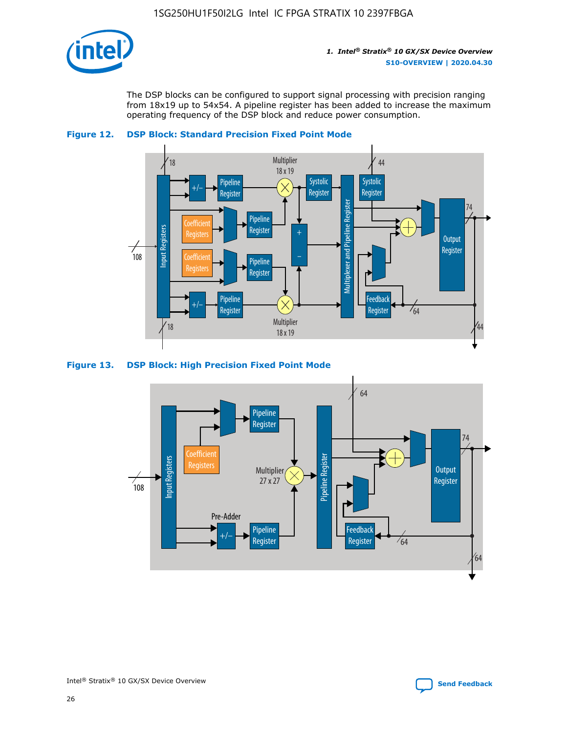

The DSP blocks can be configured to support signal processing with precision ranging from 18x19 up to 54x54. A pipeline register has been added to increase the maximum operating frequency of the DSP block and reduce power consumption.



#### **Figure 12. DSP Block: Standard Precision Fixed Point Mode**





44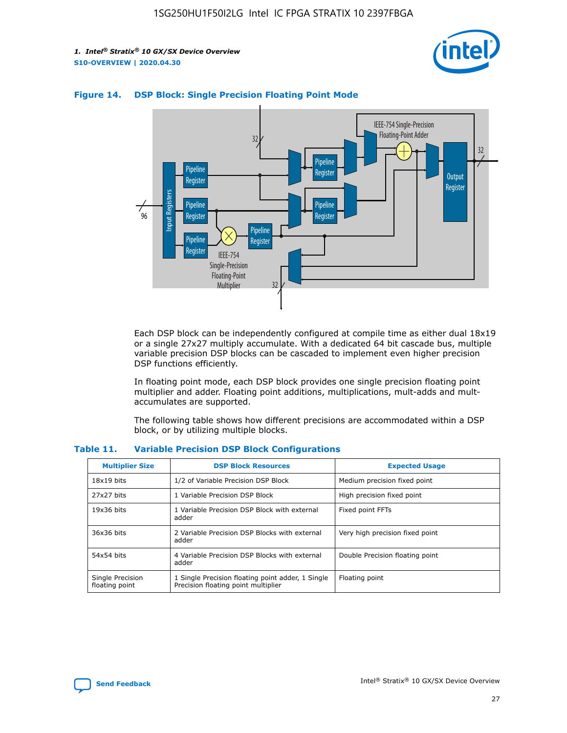



## **Figure 14. DSP Block: Single Precision Floating Point Mode**

Each DSP block can be independently configured at compile time as either dual 18x19 or a single 27x27 multiply accumulate. With a dedicated 64 bit cascade bus, multiple variable precision DSP blocks can be cascaded to implement even higher precision DSP functions efficiently.

In floating point mode, each DSP block provides one single precision floating point multiplier and adder. Floating point additions, multiplications, mult-adds and multaccumulates are supported.

The following table shows how different precisions are accommodated within a DSP block, or by utilizing multiple blocks.

| <b>Multiplier Size</b>             | <b>DSP Block Resources</b>                                                               | <b>Expected Usage</b>           |
|------------------------------------|------------------------------------------------------------------------------------------|---------------------------------|
| $18x19$ bits                       | 1/2 of Variable Precision DSP Block                                                      | Medium precision fixed point    |
| 27x27 bits                         | 1 Variable Precision DSP Block                                                           | High precision fixed point      |
| $19x36$ bits                       | 1 Variable Precision DSP Block with external<br>adder                                    | Fixed point FFTs                |
| 36x36 bits                         | 2 Variable Precision DSP Blocks with external<br>adder                                   | Very high precision fixed point |
| 54x54 bits                         | 4 Variable Precision DSP Blocks with external<br>adder                                   | Double Precision floating point |
| Single Precision<br>floating point | 1 Single Precision floating point adder, 1 Single<br>Precision floating point multiplier | Floating point                  |

#### **Table 11. Variable Precision DSP Block Configurations**

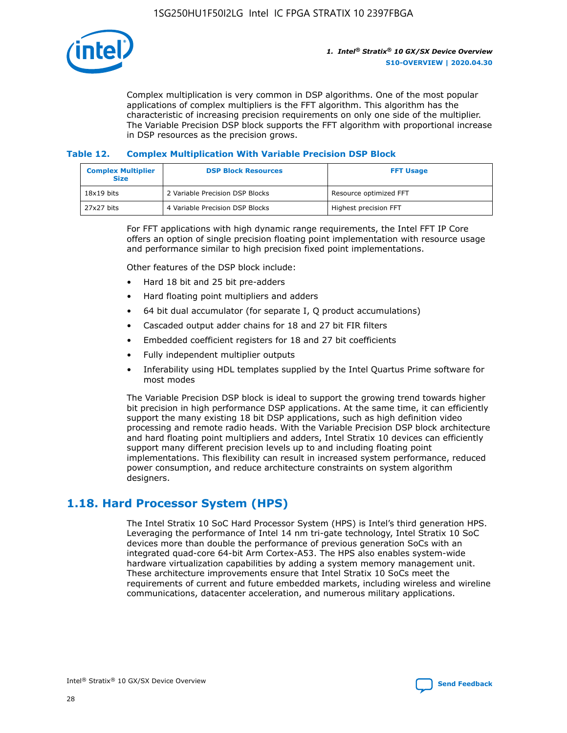

Complex multiplication is very common in DSP algorithms. One of the most popular applications of complex multipliers is the FFT algorithm. This algorithm has the characteristic of increasing precision requirements on only one side of the multiplier. The Variable Precision DSP block supports the FFT algorithm with proportional increase in DSP resources as the precision grows.

## **Table 12. Complex Multiplication With Variable Precision DSP Block**

| <b>Complex Multiplier</b><br><b>Size</b> | <b>DSP Block Resources</b>      | <b>FFT Usage</b>       |
|------------------------------------------|---------------------------------|------------------------|
| $18x19$ bits                             | 2 Variable Precision DSP Blocks | Resource optimized FFT |
| 27x27 bits                               | 4 Variable Precision DSP Blocks | Highest precision FFT  |

For FFT applications with high dynamic range requirements, the Intel FFT IP Core offers an option of single precision floating point implementation with resource usage and performance similar to high precision fixed point implementations.

Other features of the DSP block include:

- Hard 18 bit and 25 bit pre-adders
- Hard floating point multipliers and adders
- 64 bit dual accumulator (for separate I, Q product accumulations)
- Cascaded output adder chains for 18 and 27 bit FIR filters
- Embedded coefficient registers for 18 and 27 bit coefficients
- Fully independent multiplier outputs
- Inferability using HDL templates supplied by the Intel Quartus Prime software for most modes

The Variable Precision DSP block is ideal to support the growing trend towards higher bit precision in high performance DSP applications. At the same time, it can efficiently support the many existing 18 bit DSP applications, such as high definition video processing and remote radio heads. With the Variable Precision DSP block architecture and hard floating point multipliers and adders, Intel Stratix 10 devices can efficiently support many different precision levels up to and including floating point implementations. This flexibility can result in increased system performance, reduced power consumption, and reduce architecture constraints on system algorithm designers.

## **1.18. Hard Processor System (HPS)**

The Intel Stratix 10 SoC Hard Processor System (HPS) is Intel's third generation HPS. Leveraging the performance of Intel 14 nm tri-gate technology, Intel Stratix 10 SoC devices more than double the performance of previous generation SoCs with an integrated quad-core 64-bit Arm Cortex-A53. The HPS also enables system-wide hardware virtualization capabilities by adding a system memory management unit. These architecture improvements ensure that Intel Stratix 10 SoCs meet the requirements of current and future embedded markets, including wireless and wireline communications, datacenter acceleration, and numerous military applications.

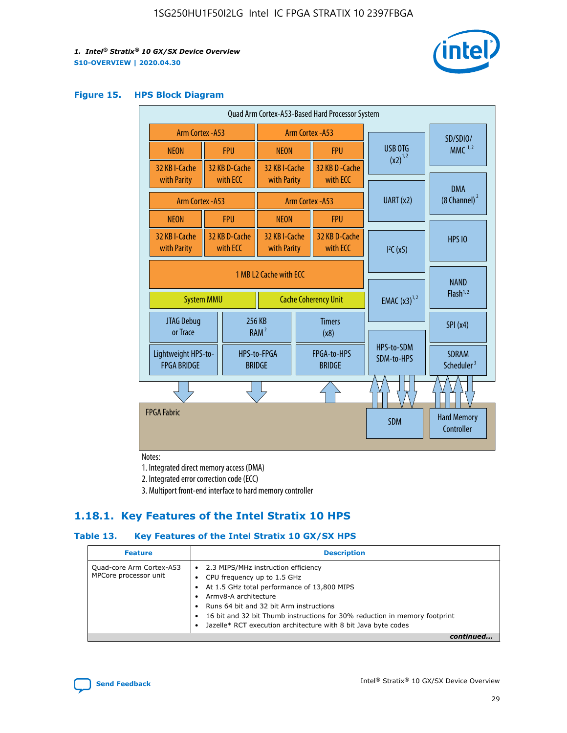

#### **Figure 15. HPS Block Diagram**

| Quad Arm Cortex-A53-Based Hard Processor System |                  |                                                       |                                                     |                          |                                     |                          |                                        |
|-------------------------------------------------|------------------|-------------------------------------------------------|-----------------------------------------------------|--------------------------|-------------------------------------|--------------------------|----------------------------------------|
| Arm Cortex - A53                                |                  |                                                       | Arm Cortex - A53                                    |                          |                                     | SD/SDIO/                 |                                        |
| <b>NEON</b>                                     |                  | <b>FPU</b>                                            | <b>NEON</b>                                         |                          | <b>FPU</b>                          | <b>USB OTG</b>           | $MMC$ <sup>1,2</sup>                   |
| 32 KB I-Cache<br>with Parity                    |                  | 32 KB D-Cache<br>with ECC                             | 32 KB I-Cache<br>with Parity                        |                          | 32 KB D-Cache<br>with ECC           | $(x2)^{1,2}$             |                                        |
|                                                 | Arm Cortex - A53 |                                                       |                                                     |                          | Arm Cortex - A53                    | UART (x2)                | <b>DMA</b><br>$(8 \text{ Channel})^2$  |
| <b>NEON</b>                                     |                  | <b>FPU</b>                                            | <b>NEON</b>                                         |                          | <b>FPU</b>                          |                          |                                        |
| 32 KB I-Cache<br>with Parity                    |                  | 32 KB D-Cache<br>with ECC                             | 32 KB I-Cache<br>with Parity                        |                          | 32 KB D-Cache<br>with ECC           | I <sup>2</sup> C(x5)     | <b>HPS 10</b>                          |
| <b>System MMU</b>                               |                  | 1 MB L2 Cache with ECC<br><b>Cache Coherency Unit</b> |                                                     | <b>EMAC</b> $(x3)^{1,2}$ | <b>NAND</b><br>Flash <sup>1,2</sup> |                          |                                        |
| JTAG Debug<br>or Trace                          |                  |                                                       | 256 KB<br><b>Timers</b><br>RAM <sup>2</sup><br>(x8) |                          |                                     |                          | SPI(x4)                                |
| Lightweight HPS-to-<br><b>FPGA BRIDGE</b>       |                  |                                                       | HPS-to-FPGA<br><b>BRIDGE</b>                        |                          | FPGA-to-HPS<br><b>BRIDGE</b>        | HPS-to-SDM<br>SDM-to-HPS | <b>SDRAM</b><br>Scheduler <sup>3</sup> |
|                                                 |                  |                                                       |                                                     |                          |                                     |                          |                                        |
| <b>FPGA Fabric</b>                              |                  |                                                       |                                                     |                          |                                     | <b>SDM</b>               | <b>Hard Memory</b><br>Controller       |

Notes:

1. Integrated direct memory access (DMA)

2. Integrated error correction code (ECC)

3. Multiport front-end interface to hard memory controller

## **1.18.1. Key Features of the Intel Stratix 10 HPS**

## **Table 13. Key Features of the Intel Stratix 10 GX/SX HPS**

| <b>Feature</b>                                    | <b>Description</b>                                                                                                                                                                                                                                                                                                                                     |
|---------------------------------------------------|--------------------------------------------------------------------------------------------------------------------------------------------------------------------------------------------------------------------------------------------------------------------------------------------------------------------------------------------------------|
| Quad-core Arm Cortex-A53<br>MPCore processor unit | 2.3 MIPS/MHz instruction efficiency<br>$\bullet$<br>CPU frequency up to 1.5 GHz<br>٠<br>At 1.5 GHz total performance of 13,800 MIPS<br>Army8-A architecture<br>Runs 64 bit and 32 bit Arm instructions<br>16 bit and 32 bit Thumb instructions for 30% reduction in memory footprint<br>Jazelle* RCT execution architecture with 8 bit Java byte codes |
|                                                   |                                                                                                                                                                                                                                                                                                                                                        |

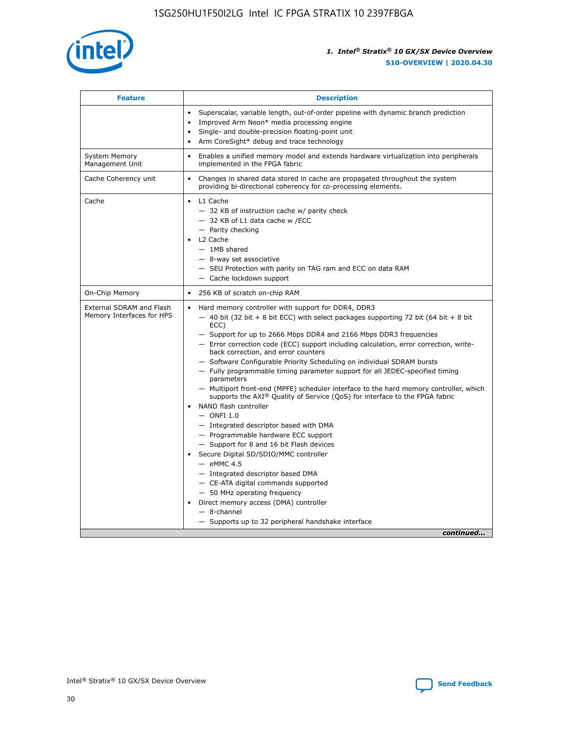

| <b>Feature</b>                                        | <b>Description</b>                                                                                                                                                                                                                                                                                                                                                                                                                                                                                                                                                                                                                                                                                                                                                                                                                                                                                                                                                                                                                                                                                                                                                                                                      |
|-------------------------------------------------------|-------------------------------------------------------------------------------------------------------------------------------------------------------------------------------------------------------------------------------------------------------------------------------------------------------------------------------------------------------------------------------------------------------------------------------------------------------------------------------------------------------------------------------------------------------------------------------------------------------------------------------------------------------------------------------------------------------------------------------------------------------------------------------------------------------------------------------------------------------------------------------------------------------------------------------------------------------------------------------------------------------------------------------------------------------------------------------------------------------------------------------------------------------------------------------------------------------------------------|
|                                                       | Superscalar, variable length, out-of-order pipeline with dynamic branch prediction<br>$\bullet$<br>Improved Arm Neon* media processing engine<br>$\bullet$<br>Single- and double-precision floating-point unit<br>Arm CoreSight* debug and trace technology<br>$\bullet$                                                                                                                                                                                                                                                                                                                                                                                                                                                                                                                                                                                                                                                                                                                                                                                                                                                                                                                                                |
| <b>System Memory</b><br>Management Unit               | Enables a unified memory model and extends hardware virtualization into peripherals<br>$\bullet$<br>implemented in the FPGA fabric                                                                                                                                                                                                                                                                                                                                                                                                                                                                                                                                                                                                                                                                                                                                                                                                                                                                                                                                                                                                                                                                                      |
| Cache Coherency unit                                  | $\bullet$<br>Changes in shared data stored in cache are propagated throughout the system<br>providing bi-directional coherency for co-processing elements.                                                                                                                                                                                                                                                                                                                                                                                                                                                                                                                                                                                                                                                                                                                                                                                                                                                                                                                                                                                                                                                              |
| Cache                                                 | $\bullet$ L1 Cache<br>- 32 KB of instruction cache w/ parity check<br>- 32 KB of L1 data cache w /ECC<br>- Parity checking<br>L2 Cache<br>$-1MB$ shared<br>$-$ 8-way set associative<br>- SEU Protection with parity on TAG ram and ECC on data RAM<br>- Cache lockdown support                                                                                                                                                                                                                                                                                                                                                                                                                                                                                                                                                                                                                                                                                                                                                                                                                                                                                                                                         |
| On-Chip Memory                                        | 256 KB of scratch on-chip RAM<br>$\bullet$                                                                                                                                                                                                                                                                                                                                                                                                                                                                                                                                                                                                                                                                                                                                                                                                                                                                                                                                                                                                                                                                                                                                                                              |
| External SDRAM and Flash<br>Memory Interfaces for HPS | Hard memory controller with support for DDR4, DDR3<br>$\bullet$<br>$-$ 40 bit (32 bit + 8 bit ECC) with select packages supporting 72 bit (64 bit + 8 bit<br>ECC)<br>- Support for up to 2666 Mbps DDR4 and 2166 Mbps DDR3 frequencies<br>- Error correction code (ECC) support including calculation, error correction, write-<br>back correction, and error counters<br>- Software Configurable Priority Scheduling on individual SDRAM bursts<br>- Fully programmable timing parameter support for all JEDEC-specified timing<br>parameters<br>- Multiport front-end (MPFE) scheduler interface to the hard memory controller, which<br>supports the AXI <sup>®</sup> Quality of Service (QoS) for interface to the FPGA fabric<br>NAND flash controller<br>$-$ ONFI 1.0<br>- Integrated descriptor based with DMA<br>- Programmable hardware ECC support<br>- Support for 8 and 16 bit Flash devices<br>Secure Digital SD/SDIO/MMC controller<br>$-$ eMMC 4.5<br>- Integrated descriptor based DMA<br>- CE-ATA digital commands supported<br>- 50 MHz operating frequency<br>Direct memory access (DMA) controller<br>$\bullet$<br>$-8$ -channel<br>- Supports up to 32 peripheral handshake interface<br>continued |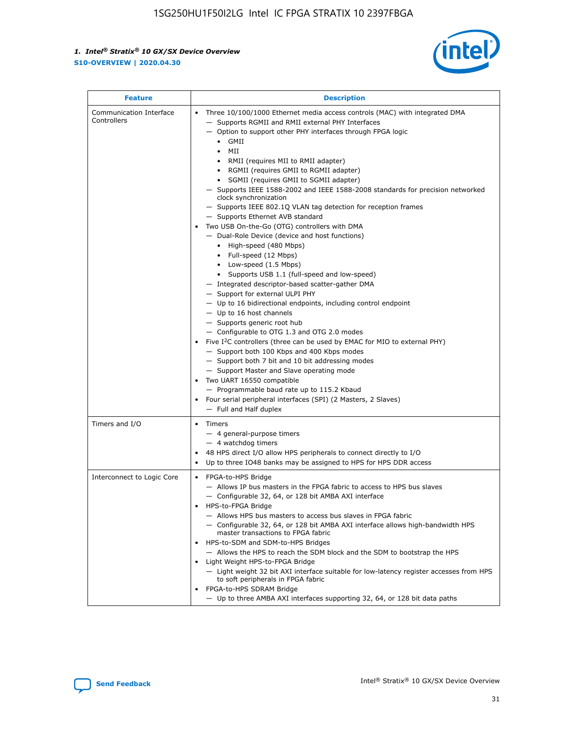

| <b>Feature</b>                         | <b>Description</b>                                                                                                                                                                                                                                                                                                                                                                                                                                                                                                                                                                                                                                                                                                                                                                                                                                                                                                                                                                                                                                                                                                                                                                                                                                                                                                                                                                                                                                                                                                  |
|----------------------------------------|---------------------------------------------------------------------------------------------------------------------------------------------------------------------------------------------------------------------------------------------------------------------------------------------------------------------------------------------------------------------------------------------------------------------------------------------------------------------------------------------------------------------------------------------------------------------------------------------------------------------------------------------------------------------------------------------------------------------------------------------------------------------------------------------------------------------------------------------------------------------------------------------------------------------------------------------------------------------------------------------------------------------------------------------------------------------------------------------------------------------------------------------------------------------------------------------------------------------------------------------------------------------------------------------------------------------------------------------------------------------------------------------------------------------------------------------------------------------------------------------------------------------|
| Communication Interface<br>Controllers | Three 10/100/1000 Ethernet media access controls (MAC) with integrated DMA<br>$\bullet$<br>- Supports RGMII and RMII external PHY Interfaces<br>- Option to support other PHY interfaces through FPGA logic<br>GMII<br>$\bullet$<br>MII<br>$\bullet$<br>• RMII (requires MII to RMII adapter)<br>• RGMII (requires GMII to RGMII adapter)<br>• SGMII (requires GMII to SGMII adapter)<br>- Supports IEEE 1588-2002 and IEEE 1588-2008 standards for precision networked<br>clock synchronization<br>- Supports IEEE 802.1Q VLAN tag detection for reception frames<br>- Supports Ethernet AVB standard<br>Two USB On-the-Go (OTG) controllers with DMA<br>- Dual-Role Device (device and host functions)<br>• High-speed (480 Mbps)<br>• Full-speed (12 Mbps)<br>• Low-speed (1.5 Mbps)<br>• Supports USB 1.1 (full-speed and low-speed)<br>- Integrated descriptor-based scatter-gather DMA<br>- Support for external ULPI PHY<br>- Up to 16 bidirectional endpoints, including control endpoint<br>$-$ Up to 16 host channels<br>- Supports generic root hub<br>- Configurable to OTG 1.3 and OTG 2.0 modes<br>Five $I^2C$ controllers (three can be used by EMAC for MIO to external PHY)<br>- Support both 100 Kbps and 400 Kbps modes<br>- Support both 7 bit and 10 bit addressing modes<br>- Support Master and Slave operating mode<br>Two UART 16550 compatible<br>- Programmable baud rate up to 115.2 Kbaud<br>• Four serial peripheral interfaces (SPI) (2 Masters, 2 Slaves)<br>- Full and Half duplex |
| Timers and I/O                         | $\bullet$ Timers<br>- 4 general-purpose timers<br>$-4$ watchdog timers<br>48 HPS direct I/O allow HPS peripherals to connect directly to I/O<br>Up to three IO48 banks may be assigned to HPS for HPS DDR access                                                                                                                                                                                                                                                                                                                                                                                                                                                                                                                                                                                                                                                                                                                                                                                                                                                                                                                                                                                                                                                                                                                                                                                                                                                                                                    |
| Interconnect to Logic Core             | • FPGA-to-HPS Bridge<br>- Allows IP bus masters in the FPGA fabric to access to HPS bus slaves<br>- Configurable 32, 64, or 128 bit AMBA AXI interface<br>HPS-to-FPGA Bridge<br>- Allows HPS bus masters to access bus slaves in FPGA fabric<br>- Configurable 32, 64, or 128 bit AMBA AXI interface allows high-bandwidth HPS<br>master transactions to FPGA fabric<br>HPS-to-SDM and SDM-to-HPS Bridges<br>- Allows the HPS to reach the SDM block and the SDM to bootstrap the HPS<br>Light Weight HPS-to-FPGA Bridge<br>- Light weight 32 bit AXI interface suitable for low-latency register accesses from HPS<br>to soft peripherals in FPGA fabric<br>FPGA-to-HPS SDRAM Bridge<br>- Up to three AMBA AXI interfaces supporting 32, 64, or 128 bit data paths                                                                                                                                                                                                                                                                                                                                                                                                                                                                                                                                                                                                                                                                                                                                                 |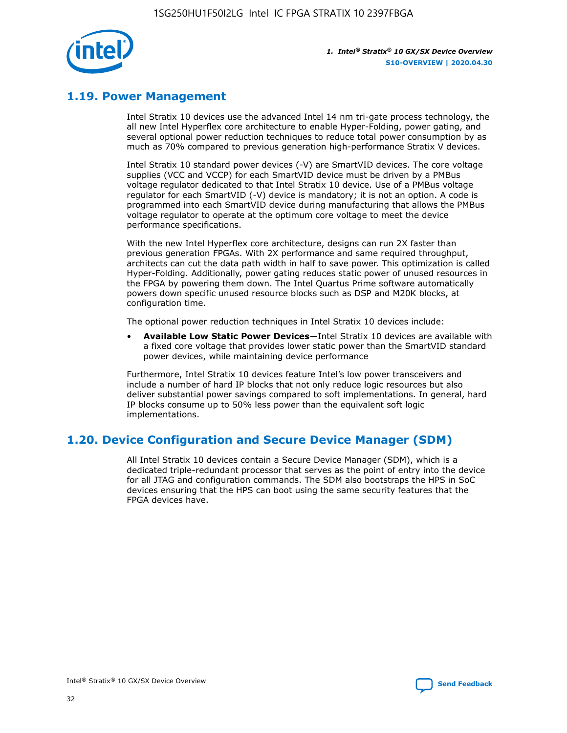

## **1.19. Power Management**

Intel Stratix 10 devices use the advanced Intel 14 nm tri-gate process technology, the all new Intel Hyperflex core architecture to enable Hyper-Folding, power gating, and several optional power reduction techniques to reduce total power consumption by as much as 70% compared to previous generation high-performance Stratix V devices.

Intel Stratix 10 standard power devices (-V) are SmartVID devices. The core voltage supplies (VCC and VCCP) for each SmartVID device must be driven by a PMBus voltage regulator dedicated to that Intel Stratix 10 device. Use of a PMBus voltage regulator for each SmartVID (-V) device is mandatory; it is not an option. A code is programmed into each SmartVID device during manufacturing that allows the PMBus voltage regulator to operate at the optimum core voltage to meet the device performance specifications.

With the new Intel Hyperflex core architecture, designs can run 2X faster than previous generation FPGAs. With 2X performance and same required throughput, architects can cut the data path width in half to save power. This optimization is called Hyper-Folding. Additionally, power gating reduces static power of unused resources in the FPGA by powering them down. The Intel Quartus Prime software automatically powers down specific unused resource blocks such as DSP and M20K blocks, at configuration time.

The optional power reduction techniques in Intel Stratix 10 devices include:

• **Available Low Static Power Devices**—Intel Stratix 10 devices are available with a fixed core voltage that provides lower static power than the SmartVID standard power devices, while maintaining device performance

Furthermore, Intel Stratix 10 devices feature Intel's low power transceivers and include a number of hard IP blocks that not only reduce logic resources but also deliver substantial power savings compared to soft implementations. In general, hard IP blocks consume up to 50% less power than the equivalent soft logic implementations.

## **1.20. Device Configuration and Secure Device Manager (SDM)**

All Intel Stratix 10 devices contain a Secure Device Manager (SDM), which is a dedicated triple-redundant processor that serves as the point of entry into the device for all JTAG and configuration commands. The SDM also bootstraps the HPS in SoC devices ensuring that the HPS can boot using the same security features that the FPGA devices have.

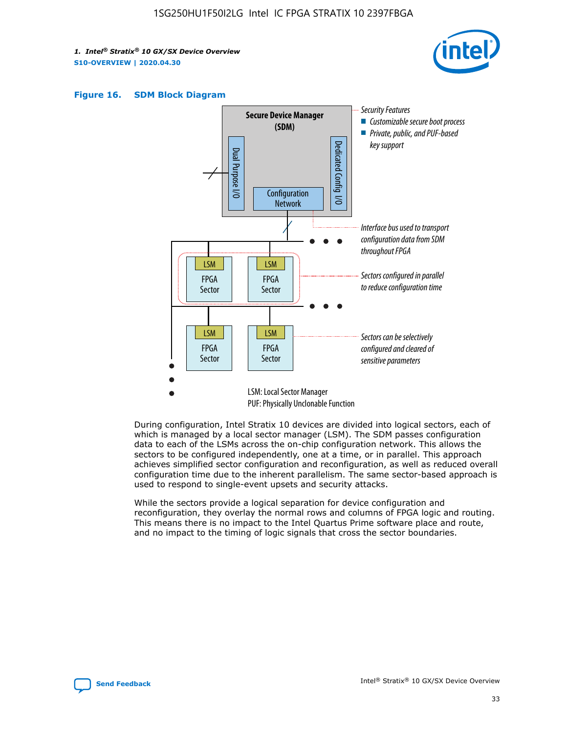





During configuration, Intel Stratix 10 devices are divided into logical sectors, each of which is managed by a local sector manager (LSM). The SDM passes configuration data to each of the LSMs across the on-chip configuration network. This allows the sectors to be configured independently, one at a time, or in parallel. This approach achieves simplified sector configuration and reconfiguration, as well as reduced overall configuration time due to the inherent parallelism. The same sector-based approach is used to respond to single-event upsets and security attacks.

While the sectors provide a logical separation for device configuration and reconfiguration, they overlay the normal rows and columns of FPGA logic and routing. This means there is no impact to the Intel Quartus Prime software place and route, and no impact to the timing of logic signals that cross the sector boundaries.

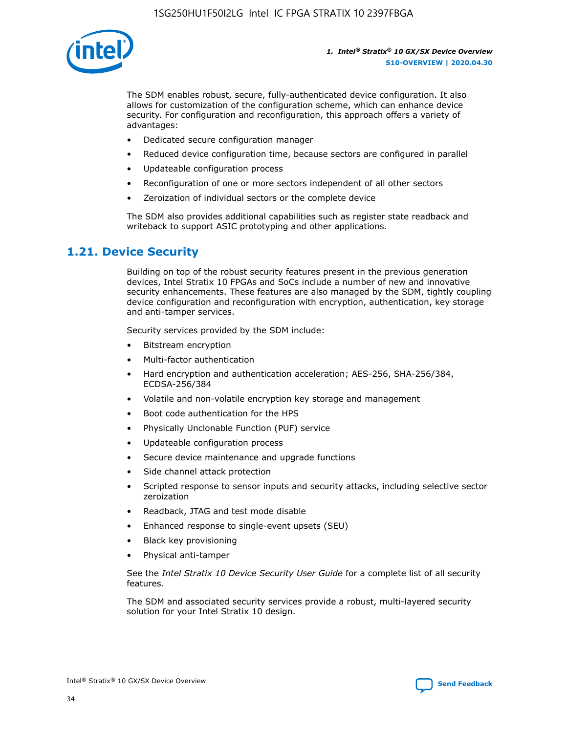

The SDM enables robust, secure, fully-authenticated device configuration. It also allows for customization of the configuration scheme, which can enhance device security. For configuration and reconfiguration, this approach offers a variety of advantages:

- Dedicated secure configuration manager
- Reduced device configuration time, because sectors are configured in parallel
- Updateable configuration process
- Reconfiguration of one or more sectors independent of all other sectors
- Zeroization of individual sectors or the complete device

The SDM also provides additional capabilities such as register state readback and writeback to support ASIC prototyping and other applications.

## **1.21. Device Security**

Building on top of the robust security features present in the previous generation devices, Intel Stratix 10 FPGAs and SoCs include a number of new and innovative security enhancements. These features are also managed by the SDM, tightly coupling device configuration and reconfiguration with encryption, authentication, key storage and anti-tamper services.

Security services provided by the SDM include:

- Bitstream encryption
- Multi-factor authentication
- Hard encryption and authentication acceleration; AES-256, SHA-256/384, ECDSA-256/384
- Volatile and non-volatile encryption key storage and management
- Boot code authentication for the HPS
- Physically Unclonable Function (PUF) service
- Updateable configuration process
- Secure device maintenance and upgrade functions
- Side channel attack protection
- Scripted response to sensor inputs and security attacks, including selective sector zeroization
- Readback, JTAG and test mode disable
- Enhanced response to single-event upsets (SEU)
- Black key provisioning
- Physical anti-tamper

See the *Intel Stratix 10 Device Security User Guide* for a complete list of all security features.

The SDM and associated security services provide a robust, multi-layered security solution for your Intel Stratix 10 design.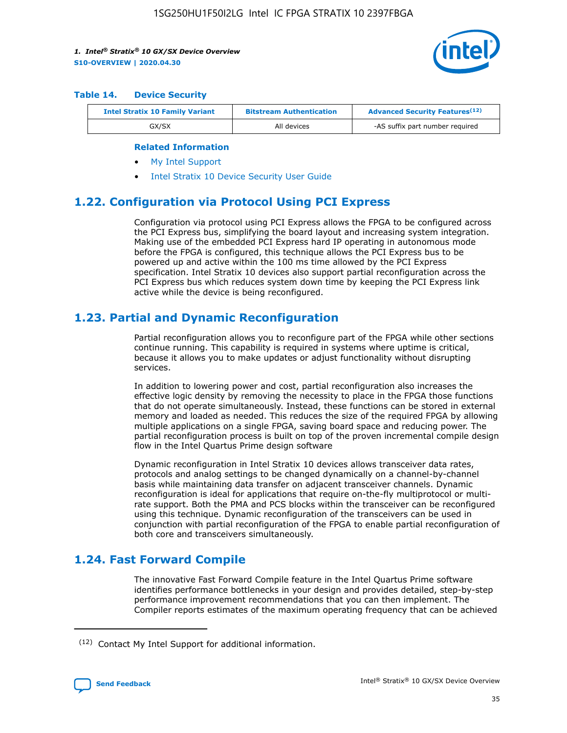

#### **Table 14. Device Security**

| <b>Intel Stratix 10 Family Variant</b> | <b>Bitstream Authentication</b> | <b>Advanced Security Features</b> <sup>(12)</sup> |
|----------------------------------------|---------------------------------|---------------------------------------------------|
| GX/SX                                  | All devices                     | -AS suffix part number required                   |

#### **Related Information**

- [My Intel Support](https://www.intel.com/content/www/us/en/programmable/my-intel/mal-home.html)
- [Intel Stratix 10 Device Security User Guide](https://www.intel.com/content/www/us/en/programmable/documentation/ndq1483601370898.html#wcd1483611014402)

## **1.22. Configuration via Protocol Using PCI Express**

Configuration via protocol using PCI Express allows the FPGA to be configured across the PCI Express bus, simplifying the board layout and increasing system integration. Making use of the embedded PCI Express hard IP operating in autonomous mode before the FPGA is configured, this technique allows the PCI Express bus to be powered up and active within the 100 ms time allowed by the PCI Express specification. Intel Stratix 10 devices also support partial reconfiguration across the PCI Express bus which reduces system down time by keeping the PCI Express link active while the device is being reconfigured.

## **1.23. Partial and Dynamic Reconfiguration**

Partial reconfiguration allows you to reconfigure part of the FPGA while other sections continue running. This capability is required in systems where uptime is critical, because it allows you to make updates or adjust functionality without disrupting services.

In addition to lowering power and cost, partial reconfiguration also increases the effective logic density by removing the necessity to place in the FPGA those functions that do not operate simultaneously. Instead, these functions can be stored in external memory and loaded as needed. This reduces the size of the required FPGA by allowing multiple applications on a single FPGA, saving board space and reducing power. The partial reconfiguration process is built on top of the proven incremental compile design flow in the Intel Quartus Prime design software

Dynamic reconfiguration in Intel Stratix 10 devices allows transceiver data rates, protocols and analog settings to be changed dynamically on a channel-by-channel basis while maintaining data transfer on adjacent transceiver channels. Dynamic reconfiguration is ideal for applications that require on-the-fly multiprotocol or multirate support. Both the PMA and PCS blocks within the transceiver can be reconfigured using this technique. Dynamic reconfiguration of the transceivers can be used in conjunction with partial reconfiguration of the FPGA to enable partial reconfiguration of both core and transceivers simultaneously.

## **1.24. Fast Forward Compile**

The innovative Fast Forward Compile feature in the Intel Quartus Prime software identifies performance bottlenecks in your design and provides detailed, step-by-step performance improvement recommendations that you can then implement. The Compiler reports estimates of the maximum operating frequency that can be achieved

<sup>(12)</sup> Contact My Intel Support for additional information.

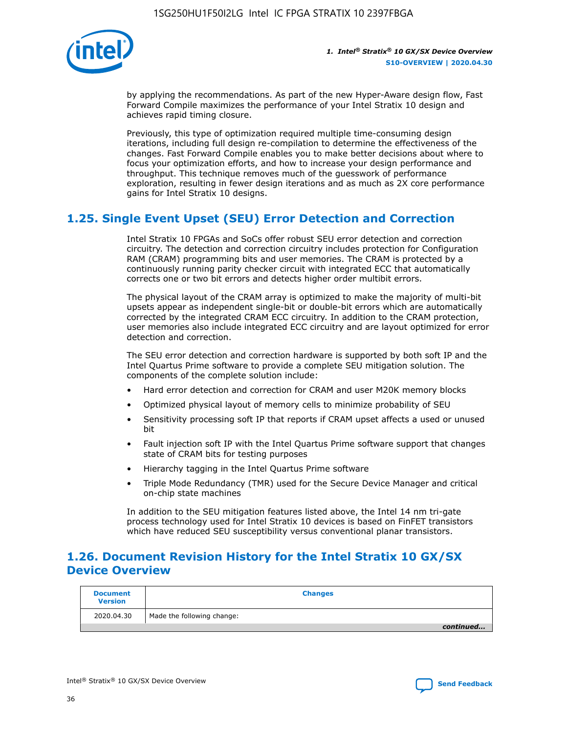

by applying the recommendations. As part of the new Hyper-Aware design flow, Fast Forward Compile maximizes the performance of your Intel Stratix 10 design and achieves rapid timing closure.

Previously, this type of optimization required multiple time-consuming design iterations, including full design re-compilation to determine the effectiveness of the changes. Fast Forward Compile enables you to make better decisions about where to focus your optimization efforts, and how to increase your design performance and throughput. This technique removes much of the guesswork of performance exploration, resulting in fewer design iterations and as much as 2X core performance gains for Intel Stratix 10 designs.

## **1.25. Single Event Upset (SEU) Error Detection and Correction**

Intel Stratix 10 FPGAs and SoCs offer robust SEU error detection and correction circuitry. The detection and correction circuitry includes protection for Configuration RAM (CRAM) programming bits and user memories. The CRAM is protected by a continuously running parity checker circuit with integrated ECC that automatically corrects one or two bit errors and detects higher order multibit errors.

The physical layout of the CRAM array is optimized to make the majority of multi-bit upsets appear as independent single-bit or double-bit errors which are automatically corrected by the integrated CRAM ECC circuitry. In addition to the CRAM protection, user memories also include integrated ECC circuitry and are layout optimized for error detection and correction.

The SEU error detection and correction hardware is supported by both soft IP and the Intel Quartus Prime software to provide a complete SEU mitigation solution. The components of the complete solution include:

- Hard error detection and correction for CRAM and user M20K memory blocks
- Optimized physical layout of memory cells to minimize probability of SEU
- Sensitivity processing soft IP that reports if CRAM upset affects a used or unused bit
- Fault injection soft IP with the Intel Quartus Prime software support that changes state of CRAM bits for testing purposes
- Hierarchy tagging in the Intel Quartus Prime software
- Triple Mode Redundancy (TMR) used for the Secure Device Manager and critical on-chip state machines

In addition to the SEU mitigation features listed above, the Intel 14 nm tri-gate process technology used for Intel Stratix 10 devices is based on FinFET transistors which have reduced SEU susceptibility versus conventional planar transistors.

## **1.26. Document Revision History for the Intel Stratix 10 GX/SX Device Overview**

| <b>Document</b><br><b>Version</b> | <b>Changes</b>             |
|-----------------------------------|----------------------------|
| 2020.04.30                        | Made the following change: |
|                                   | continued                  |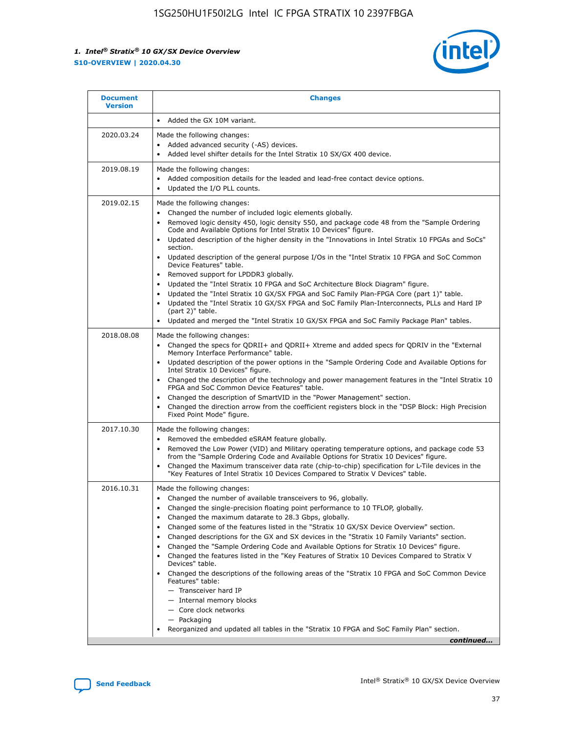

| <b>Document</b><br><b>Version</b> | <b>Changes</b>                                                                                                                                                                                                                                                                                                                                                                                                                                                                                                                                                                                                                                                                                                                                                                                                                                                                                                                                                                       |
|-----------------------------------|--------------------------------------------------------------------------------------------------------------------------------------------------------------------------------------------------------------------------------------------------------------------------------------------------------------------------------------------------------------------------------------------------------------------------------------------------------------------------------------------------------------------------------------------------------------------------------------------------------------------------------------------------------------------------------------------------------------------------------------------------------------------------------------------------------------------------------------------------------------------------------------------------------------------------------------------------------------------------------------|
|                                   | Added the GX 10M variant.                                                                                                                                                                                                                                                                                                                                                                                                                                                                                                                                                                                                                                                                                                                                                                                                                                                                                                                                                            |
| 2020.03.24                        | Made the following changes:<br>Added advanced security (-AS) devices.<br>$\bullet$<br>Added level shifter details for the Intel Stratix 10 SX/GX 400 device.                                                                                                                                                                                                                                                                                                                                                                                                                                                                                                                                                                                                                                                                                                                                                                                                                         |
| 2019.08.19                        | Made the following changes:<br>Added composition details for the leaded and lead-free contact device options.<br>$\bullet$<br>Updated the I/O PLL counts.<br>٠                                                                                                                                                                                                                                                                                                                                                                                                                                                                                                                                                                                                                                                                                                                                                                                                                       |
| 2019.02.15                        | Made the following changes:<br>Changed the number of included logic elements globally.<br>$\bullet$<br>Removed logic density 450, logic density 550, and package code 48 from the "Sample Ordering<br>٠<br>Code and Available Options for Intel Stratix 10 Devices" figure.<br>Updated description of the higher density in the "Innovations in Intel Stratix 10 FPGAs and SoCs"<br>section.<br>Updated description of the general purpose I/Os in the "Intel Stratix 10 FPGA and SoC Common<br>$\bullet$<br>Device Features" table.<br>Removed support for LPDDR3 globally.<br>Updated the "Intel Stratix 10 FPGA and SoC Architecture Block Diagram" figure.<br>٠<br>Updated the "Intel Stratix 10 GX/SX FPGA and SoC Family Plan-FPGA Core (part 1)" table.<br>٠<br>Updated the "Intel Stratix 10 GX/SX FPGA and SoC Family Plan-Interconnects, PLLs and Hard IP<br>(part 2)" table.<br>Updated and merged the "Intel Stratix 10 GX/SX FPGA and SoC Family Package Plan" tables.  |
| 2018.08.08                        | Made the following changes:<br>Changed the specs for QDRII+ and QDRII+ Xtreme and added specs for QDRIV in the "External<br>$\bullet$<br>Memory Interface Performance" table.<br>Updated description of the power options in the "Sample Ordering Code and Available Options for<br>$\bullet$<br>Intel Stratix 10 Devices" figure.<br>Changed the description of the technology and power management features in the "Intel Stratix 10<br>FPGA and SoC Common Device Features" table.<br>Changed the description of SmartVID in the "Power Management" section.<br>Changed the direction arrow from the coefficient registers block in the "DSP Block: High Precision<br>٠<br>Fixed Point Mode" figure.                                                                                                                                                                                                                                                                              |
| 2017.10.30                        | Made the following changes:<br>Removed the embedded eSRAM feature globally.<br>$\bullet$<br>Removed the Low Power (VID) and Military operating temperature options, and package code 53<br>from the "Sample Ordering Code and Available Options for Stratix 10 Devices" figure.<br>Changed the Maximum transceiver data rate (chip-to-chip) specification for L-Tile devices in the<br>"Key Features of Intel Stratix 10 Devices Compared to Stratix V Devices" table.                                                                                                                                                                                                                                                                                                                                                                                                                                                                                                               |
| 2016.10.31                        | Made the following changes:<br>Changed the number of available transceivers to 96, globally.<br>Changed the single-precision floating point performance to 10 TFLOP, globally.<br>Changed the maximum datarate to 28.3 Gbps, globally.<br>٠<br>Changed some of the features listed in the "Stratix 10 GX/SX Device Overview" section.<br>٠<br>Changed descriptions for the GX and SX devices in the "Stratix 10 Family Variants" section.<br>٠<br>Changed the "Sample Ordering Code and Available Options for Stratix 10 Devices" figure.<br>٠<br>Changed the features listed in the "Key Features of Stratix 10 Devices Compared to Stratix V<br>٠<br>Devices" table.<br>Changed the descriptions of the following areas of the "Stratix 10 FPGA and SoC Common Device<br>Features" table:<br>- Transceiver hard IP<br>- Internal memory blocks<br>- Core clock networks<br>- Packaging<br>Reorganized and updated all tables in the "Stratix 10 FPGA and SoC Family Plan" section. |
|                                   | continued                                                                                                                                                                                                                                                                                                                                                                                                                                                                                                                                                                                                                                                                                                                                                                                                                                                                                                                                                                            |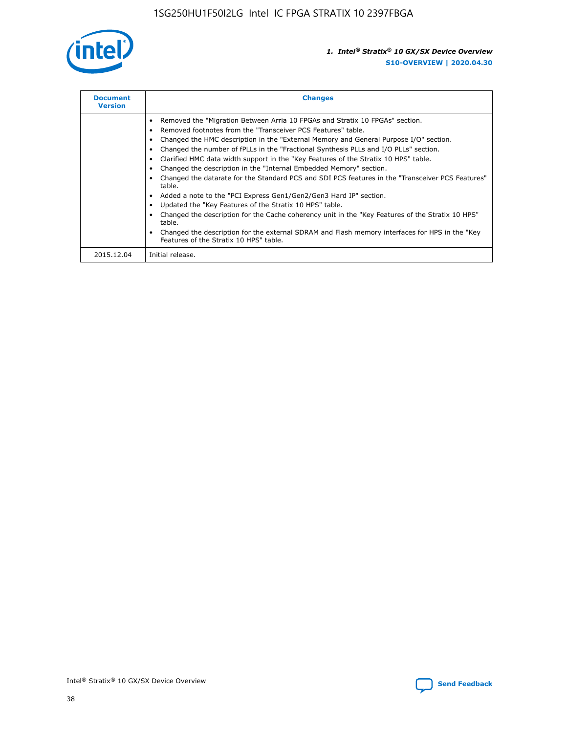

| <b>Document</b><br><b>Version</b> | <b>Changes</b>                                                                                                                                                                                                                                                                                                                                                                                                                                                                                                                                                                                                                                                                                                                                                                                                                                                                                                                                                                                     |
|-----------------------------------|----------------------------------------------------------------------------------------------------------------------------------------------------------------------------------------------------------------------------------------------------------------------------------------------------------------------------------------------------------------------------------------------------------------------------------------------------------------------------------------------------------------------------------------------------------------------------------------------------------------------------------------------------------------------------------------------------------------------------------------------------------------------------------------------------------------------------------------------------------------------------------------------------------------------------------------------------------------------------------------------------|
|                                   | Removed the "Migration Between Arria 10 FPGAs and Stratix 10 FPGAs" section.<br>Removed footnotes from the "Transceiver PCS Features" table.<br>Changed the HMC description in the "External Memory and General Purpose I/O" section.<br>Changed the number of fPLLs in the "Fractional Synthesis PLLs and I/O PLLs" section.<br>Clarified HMC data width support in the "Key Features of the Stratix 10 HPS" table.<br>Changed the description in the "Internal Embedded Memory" section.<br>Changed the datarate for the Standard PCS and SDI PCS features in the "Transceiver PCS Features"<br>table.<br>Added a note to the "PCI Express Gen1/Gen2/Gen3 Hard IP" section.<br>Updated the "Key Features of the Stratix 10 HPS" table.<br>Changed the description for the Cache coherency unit in the "Key Features of the Stratix 10 HPS"<br>table.<br>Changed the description for the external SDRAM and Flash memory interfaces for HPS in the "Key<br>Features of the Stratix 10 HPS" table. |
| 2015.12.04                        | Initial release.                                                                                                                                                                                                                                                                                                                                                                                                                                                                                                                                                                                                                                                                                                                                                                                                                                                                                                                                                                                   |